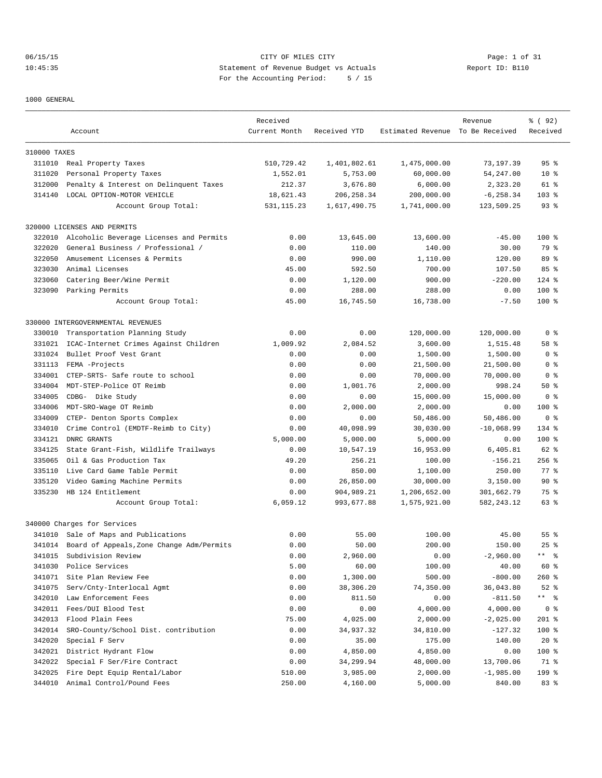06/15/15 CITY OF MILES CITY Page: 1 of 31 10:45:35 Statement of Revenue Budget vs Actuals Report ID: B110 For the Accounting Period: 5 / 15

1000 GENERAL

|              |                                           | Received      |              |                                  | Revenue      | % (92)          |
|--------------|-------------------------------------------|---------------|--------------|----------------------------------|--------------|-----------------|
|              | Account                                   | Current Month | Received YTD | Estimated Revenue To Be Received |              | Received        |
| 310000 TAXES |                                           |               |              |                                  |              |                 |
|              | 311010 Real Property Taxes                | 510,729.42    | 1,401,802.61 | 1,475,000.00                     | 73,197.39    | 95 <sup>°</sup> |
| 311020       | Personal Property Taxes                   | 1,552.01      | 5,753.00     | 60,000.00                        | 54,247.00    | $10*$           |
| 312000       | Penalty & Interest on Delinquent Taxes    | 212.37        | 3,676.80     | 6,000.00                         | 2,323.20     | 61 %            |
| 314140       | LOCAL OPTION-MOTOR VEHICLE                | 18,621.43     | 206, 258.34  | 200,000.00                       | $-6, 258.34$ | $103$ %         |
|              | Account Group Total:                      | 531, 115.23   | 1,617,490.75 | 1,741,000.00                     | 123,509.25   | $93$ $%$        |
|              | 320000 LICENSES AND PERMITS               |               |              |                                  |              |                 |
| 322010       | Alcoholic Beverage Licenses and Permits   | 0.00          | 13,645.00    | 13,600.00                        | $-45.00$     | $100*$          |
| 322020       | General Business / Professional /         | 0.00          | 110.00       | 140.00                           | 30.00        | 79 %            |
| 322050       | Amusement Licenses & Permits              | 0.00          | 990.00       | 1,110.00                         | 120.00       | 89 %            |
| 323030       | Animal Licenses                           | 45.00         | 592.50       | 700.00                           | 107.50       | 85%             |
| 323060       | Catering Beer/Wine Permit                 | 0.00          | 1,120.00     | 900.00                           | $-220.00$    | $124$ %         |
| 323090       | Parking Permits                           | 0.00          | 288.00       | 288.00                           | 0.00         | $100*$          |
|              | Account Group Total:                      | 45.00         | 16,745.50    | 16,738.00                        | $-7.50$      | $100$ %         |
|              | 330000 INTERGOVERNMENTAL REVENUES         |               |              |                                  |              |                 |
| 330010       | Transportation Planning Study             | 0.00          | 0.00         | 120,000.00                       | 120,000.00   | 0 <sup>8</sup>  |
| 331021       | ICAC-Internet Crimes Against Children     | 1,009.92      | 2,084.52     | 3,600.00                         | 1,515.48     | 58 %            |
| 331024       | Bullet Proof Vest Grant                   | 0.00          | 0.00         | 1,500.00                         | 1,500.00     | 0 <sup>8</sup>  |
| 331113       | FEMA -Projects                            | 0.00          | 0.00         | 21,500.00                        | 21,500.00    | 0 <sup>8</sup>  |
| 334001       | CTEP-SRTS- Safe route to school           | 0.00          | 0.00         | 70,000.00                        | 70,000.00    | 0 <sup>8</sup>  |
| 334004       | MDT-STEP-Police OT Reimb                  | 0.00          | 1,001.76     | 2,000.00                         | 998.24       | 50%             |
| 334005       | CDBG- Dike Study                          | 0.00          | 0.00         | 15,000.00                        | 15,000.00    | 0 <sup>8</sup>  |
| 334006       | MDT-SRO-Wage OT Reimb                     | 0.00          | 2,000.00     | 2,000.00                         | 0.00         | $100*$          |
| 334009       | CTEP- Denton Sports Complex               | 0.00          | 0.00         | 50,486.00                        | 50,486.00    | 0 <sup>8</sup>  |
| 334010       | Crime Control (EMDTF-Reimb to City)       | 0.00          | 40,098.99    | 30,030.00                        | $-10,068.99$ | 134 %           |
| 334121       | DNRC GRANTS                               | 5,000.00      | 5,000.00     | 5,000.00                         | 0.00         | $100$ %         |
| 334125       | State Grant-Fish, Wildlife Trailways      | 0.00          | 10,547.19    | 16,953.00                        | 6,405.81     | 62 %            |
| 335065       | Oil & Gas Production Tax                  | 49.20         | 256.21       | 100.00                           | $-156.21$    | $256$ %         |
| 335110       | Live Card Game Table Permit               | 0.00          | 850.00       | 1,100.00                         | 250.00       | 77.8            |
| 335120       | Video Gaming Machine Permits              | 0.00          | 26,850.00    | 30,000.00                        | 3,150.00     | 90%             |
| 335230       | HB 124 Entitlement                        | 0.00          | 904,989.21   | 1,206,652.00                     | 301,662.79   | 75 %            |
|              | Account Group Total:                      | 6,059.12      | 993,677.88   | 1,575,921.00                     | 582, 243.12  | 63 %            |
|              | 340000 Charges for Services               |               |              |                                  |              |                 |
|              | 341010 Sale of Maps and Publications      | 0.00          | 55.00        | 100.00                           | 45.00        | $55$ $%$        |
| 341014       | Board of Appeals, Zone Change Adm/Permits | 0.00          | 50.00        | 200.00                           | 150.00       | $25$ %          |
| 341015       | Subdivision Review                        | 0.00          | 2,960.00     | 0.00                             | $-2,960.00$  | ** 응            |
| 341030       | Police Services                           | 5.00          | 60.00        | 100.00                           | 40.00        | 60 %            |
| 341071       | Site Plan Review Fee                      | 0.00          | 1,300.00     | 500.00                           | $-800.00$    | $260$ %         |
| 341075       | Serv/Cnty-Interlocal Agmt                 | 0.00          | 38,306.20    | 74,350.00                        | 36,043.80    | $52$ $%$        |
| 342010       | Law Enforcement Fees                      | 0.00          | 811.50       | 0.00                             | $-811.50$    | ** 응            |
| 342011       | Fees/DUI Blood Test                       | 0.00          | 0.00         | 4,000.00                         | 4,000.00     | 0 <sup>8</sup>  |
| 342013       | Flood Plain Fees                          | 75.00         | 4,025.00     | 2,000.00                         | $-2,025.00$  | 201 %           |
| 342014       | SRO-County/School Dist. contribution      | 0.00          | 34,937.32    | 34,810.00                        | $-127.32$    | $100$ %         |
| 342020       | Special F Serv                            | 0.00          | 35.00        | 175.00                           | 140.00       | $20*$           |
| 342021       | District Hydrant Flow                     | 0.00          | 4,850.00     | 4,850.00                         | 0.00         | 100 %           |
| 342022       | Special F Ser/Fire Contract               | 0.00          | 34,299.94    | 48,000.00                        | 13,700.06    | 71 %            |
| 342025       | Fire Dept Equip Rental/Labor              | 510.00        | 3,985.00     | 2,000.00                         | $-1,985.00$  | 199 %           |
| 344010       | Animal Control/Pound Fees                 | 250.00        | 4,160.00     | 5,000.00                         | 840.00       | 83 %            |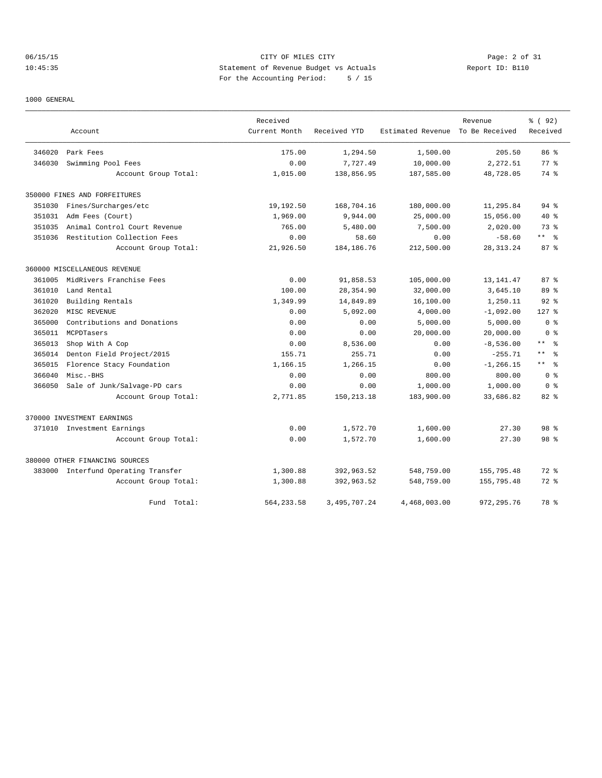# 06/15/15 CITY OF MILES CITY Page: 2 of 31 10:45:35 Statement of Revenue Budget vs Actuals Report ID: B110 For the Accounting Period: 5 / 15

### 1000 GENERAL

|        |                                     | Received      |                 |                   | Revenue        | % (92)                       |
|--------|-------------------------------------|---------------|-----------------|-------------------|----------------|------------------------------|
|        | Account                             | Current Month | Received YTD    | Estimated Revenue | To Be Received | Received                     |
| 346020 | Park Fees                           | 175.00        | 1,294.50        | 1,500.00          | 205.50         | 86 <sup>8</sup>              |
| 346030 | Swimming Pool Fees                  | 0.00          | 7,727.49        | 10,000.00         | 2,272.51       | $77*$                        |
|        | Account Group Total:                | 1,015.00      | 138,856.95      | 187,585.00        | 48,728.05      | 74 %                         |
|        | 350000 FINES AND FORFEITURES        |               |                 |                   |                |                              |
| 351030 | Fines/Surcharges/etc                | 19,192.50     | 168,704.16      | 180,000.00        | 11,295.84      | 94%                          |
| 351031 | Adm Fees (Court)                    | 1,969.00      | 9,944.00        | 25,000.00         | 15,056.00      | $40*$                        |
| 351035 | Animal Control Court Revenue        | 765.00        | 5,480.00        | 7,500.00          | 2,020.00       | 73%                          |
| 351036 | Restitution Collection Fees         | 0.00          | 58.60           | 0.00              | $-58.60$       | $***$ $ -$                   |
|        | Account Group Total:                | 21,926.50     | 184, 186. 76    | 212,500.00        | 28, 313. 24    | 87%                          |
|        | 360000 MISCELLANEOUS REVENUE        |               |                 |                   |                |                              |
| 361005 | MidRivers Franchise Fees            | 0.00          | 91,858.53       | 105,000.00        | 13, 141.47     | 87%                          |
| 361010 | Land Rental                         | 100.00        | 28,354.90       | 32,000.00         | 3,645.10       | 89 %                         |
| 361020 | Building Rentals                    | 1,349.99      | 14,849.89       | 16,100.00         | 1,250.11       | 92%                          |
| 362020 | MISC REVENUE                        | 0.00          | 5,092.00        | 4,000.00          | $-1,092.00$    | $127$ %                      |
| 365000 | Contributions and Donations         | 0.00          | 0.00            | 5,000.00          | 5,000.00       | 0 <sup>8</sup>               |
| 365011 | MCPDTasers                          | 0.00          | 0.00            | 20,000.00         | 20,000.00      | 0 <sup>8</sup>               |
| 365013 | Shop With A Cop                     | 0.00          | 8,536.00        | 0.00              | $-8,536.00$    | $\star$ $\star$<br>$\approx$ |
| 365014 | Denton Field Project/2015           | 155.71        | 255.71          | 0.00              | $-255.71$      | $\star$ $\star$<br>- 응       |
| 365015 | Florence Stacy Foundation           | 1,166.15      | 1,266.15        | 0.00              | $-1.266.15$    | $\star$ $\star$<br>$\approx$ |
| 366040 | Misc.-BHS                           | 0.00          | 0.00            | 800.00            | 800.00         | 0 <sup>8</sup>               |
| 366050 | Sale of Junk/Salvage-PD cars        | 0.00          | 0.00            | 1,000.00          | 1,000.00       | 0 <sub>8</sub>               |
|        | Account Group Total:                | 2,771.85      | 150, 213. 18    | 183,900.00        | 33,686.82      | $82$ $%$                     |
|        | 370000 INVESTMENT EARNINGS          |               |                 |                   |                |                              |
| 371010 | Investment Earnings                 | 0.00          | 1,572.70        | 1,600.00          | 27.30          | 98 <sup>8</sup>              |
|        | Account Group Total:                | 0.00          | 1,572.70        | 1,600.00          | 27.30          | 98 <sup>8</sup>              |
|        | 380000 OTHER FINANCING SOURCES      |               |                 |                   |                |                              |
|        | 383000 Interfund Operating Transfer | 1,300.88      | 392,963.52      | 548,759.00        | 155,795.48     | $72$ $%$                     |
|        | Account Group Total:                | 1,300.88      | 392,963.52      | 548,759.00        | 155,795.48     | $72$ $%$                     |
|        | Fund Total:                         | 564, 233.58   | 3, 495, 707. 24 | 4,468,003.00      | 972, 295.76    | 78 %                         |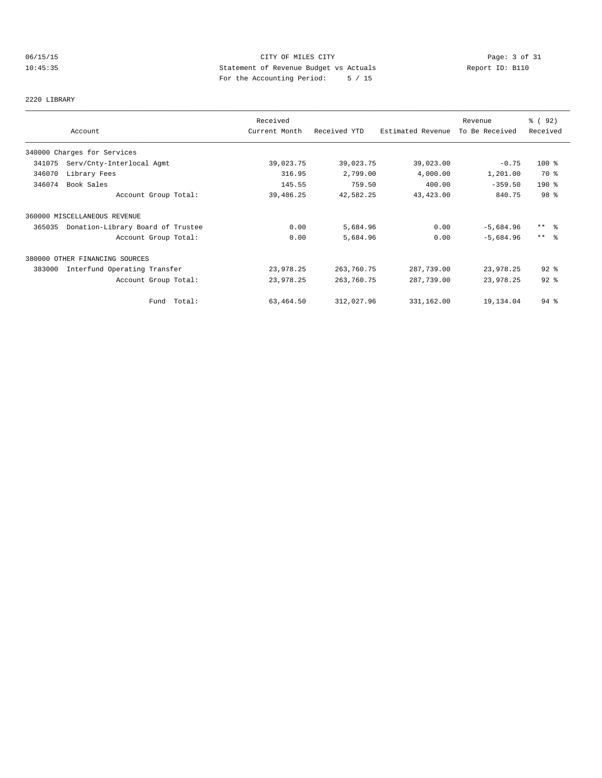# 06/15/15 CITY OF MILES CITY Page: 3 of 31 10:45:35 Statement of Revenue Budget vs Actuals Report ID: B110 For the Accounting Period: 5 / 15

# 2220 LIBRARY

|        |                                   | Received      |              |                   | Revenue        | % (92)              |
|--------|-----------------------------------|---------------|--------------|-------------------|----------------|---------------------|
|        | Account                           | Current Month | Received YTD | Estimated Revenue | To Be Received | Received            |
|        | 340000 Charges for Services       |               |              |                   |                |                     |
| 341075 | Serv/Cnty-Interlocal Agmt         | 39,023.75     | 39,023.75    | 39,023.00         | $-0.75$        | $100$ %             |
| 346070 | Library Fees                      | 316.95        | 2,799.00     | 4,000.00          | 1,201.00       | 70 %                |
| 346074 | Book Sales                        | 145.55        | 759.50       | 400.00            | $-359.50$      | $190$ %             |
|        | Account Group Total:              | 39,486.25     | 42,582.25    | 43, 423.00        | 840.75         | 98 %                |
|        | 360000 MISCELLANEOUS REVENUE      |               |              |                   |                |                     |
| 365035 | Donation-Library Board of Trustee | 0.00          | 5,684.96     | 0.00              | $-5,684.96$    | $***$ $\frac{6}{6}$ |
|        | Account Group Total:              | 0.00          | 5,684.96     | 0.00              | $-5,684.96$    | $***$ 8             |
|        | 380000 OTHER FINANCING SOURCES    |               |              |                   |                |                     |
| 383000 | Interfund Operating Transfer      | 23,978.25     | 263,760.75   | 287,739.00        | 23,978.25      | $92$ $%$            |
|        | Account Group Total:              | 23,978.25     | 263,760.75   | 287,739.00        | 23,978.25      | $92$ $%$            |
|        | Fund Total:                       | 63,464.50     | 312,027.96   | 331,162.00        | 19,134.04      | $94$ %              |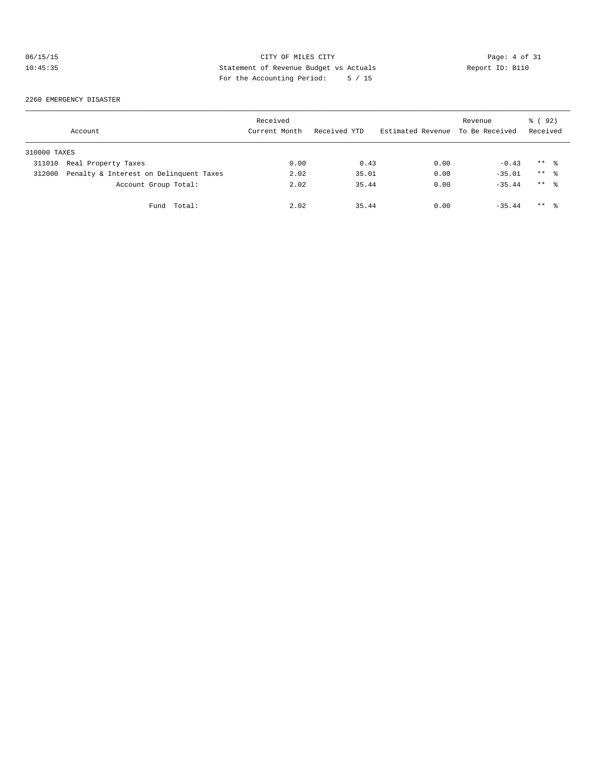# 06/15/15 CITY OF MILES CITY Page: 4 of 31 10:45:35 Statement of Revenue Budget vs Actuals Report ID: B110 For the Accounting Period: 5 / 15

### 2260 EMERGENCY DISASTER

|              | Account                                | Received<br>Current Month | Received YTD | Estimated Revenue To Be Received | Revenue  | % ( 92 )<br>Received |
|--------------|----------------------------------------|---------------------------|--------------|----------------------------------|----------|----------------------|
| 310000 TAXES |                                        |                           |              |                                  |          |                      |
| 311010       | Real Property Taxes                    | 0.00                      | 0.43         | 0.00                             | $-0.43$  | $***$ $\frac{6}{2}$  |
| 312000       | Penalty & Interest on Delinquent Taxes | 2.02                      | 35.01        | 0.00                             | $-35.01$ | $***$ $\frac{6}{2}$  |
|              | Account Group Total:                   | 2.02                      | 35.44        | 0.00                             | $-35.44$ | $***$ $\frac{6}{6}$  |
|              | Fund Total:                            | 2.02                      | 35.44        | 0.00                             | $-35.44$ | $***$ 8              |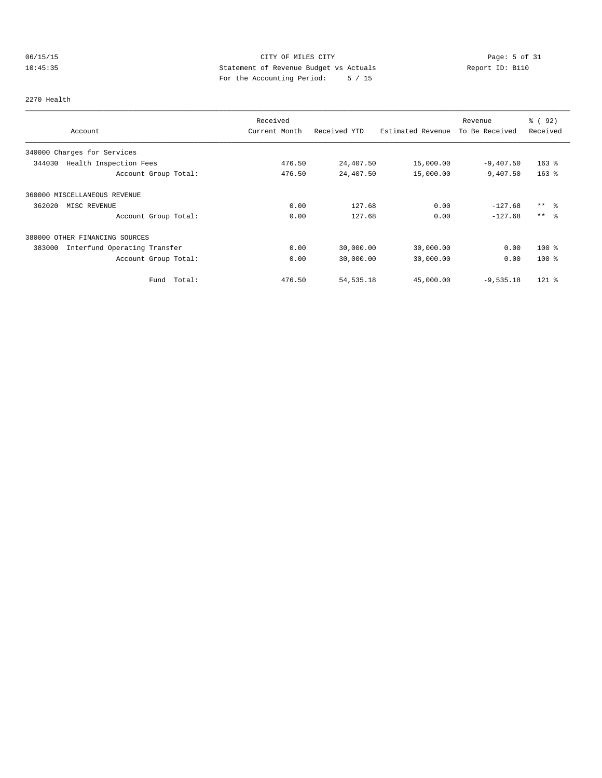# 06/15/15 CITY OF MILES CITY Page: 5 of 31 10:45:35 Statement of Revenue Budget vs Actuals Report ID: B110 For the Accounting Period: 5 / 15

### 2270 Health

|                                        | Received      |              |                   | Revenue        | % ( 92 )  |
|----------------------------------------|---------------|--------------|-------------------|----------------|-----------|
| Account                                | Current Month | Received YTD | Estimated Revenue | To Be Received | Received  |
| 340000 Charges for Services            |               |              |                   |                |           |
| 344030<br>Health Inspection Fees       | 476.50        | 24,407.50    | 15,000.00         | $-9,407.50$    | $163$ %   |
| Account Group Total:                   | 476.50        | 24,407.50    | 15,000.00         | $-9,407.50$    | $163$ $%$ |
| 360000 MISCELLANEOUS REVENUE           |               |              |                   |                |           |
| 362020<br>MISC REVENUE                 | 0.00          | 127.68       | 0.00              | $-127.68$      | $***$ %   |
| Account Group Total:                   | 0.00          | 127.68       | 0.00              | $-127.68$      | $***$ %   |
| 380000 OTHER FINANCING SOURCES         |               |              |                   |                |           |
| 383000<br>Interfund Operating Transfer | 0.00          | 30,000.00    | 30,000.00         | 0.00           | $100*$    |
| Account Group Total:                   | 0.00          | 30,000.00    | 30,000.00         | 0.00           | $100*$    |
| Total:<br>Fund                         | 476.50        | 54, 535. 18  | 45,000.00         | $-9,535.18$    | $121$ %   |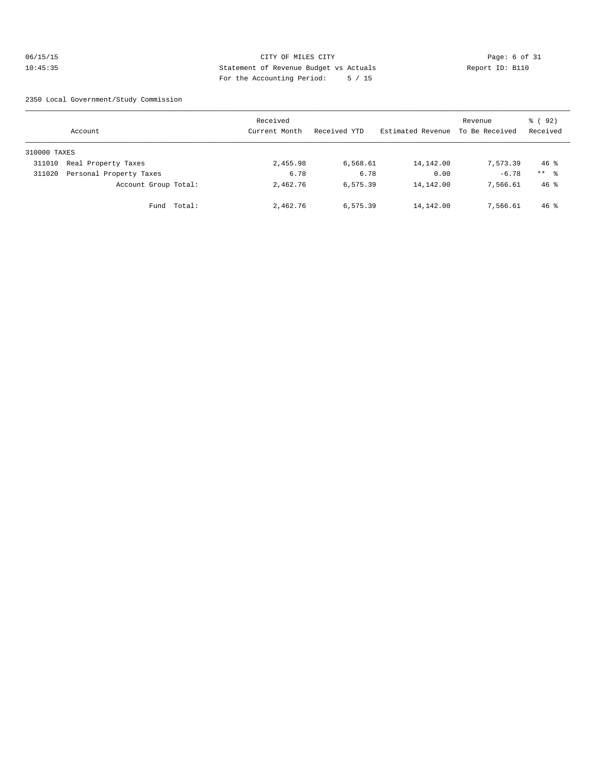# 06/15/15 CITY OF MILES CITY Page: 6 of 31 10:45:35 Statement of Revenue Budget vs Actuals Report ID: B110 For the Accounting Period: 5 / 15

2350 Local Government/Study Commission

|              | Account                 | Received<br>Current Month | Received YTD | Estimated Revenue | Revenue<br>To Be Received | % (92)<br>Received |
|--------------|-------------------------|---------------------------|--------------|-------------------|---------------------------|--------------------|
| 310000 TAXES |                         |                           |              |                   |                           |                    |
| 311010       | Real Property Taxes     | 2,455.98                  | 6,568.61     | 14,142.00         | 7,573.39                  | $46$ %             |
| 311020       | Personal Property Taxes | 6.78                      | 6.78         | 0.00              | $-6.78$                   | $***$ %            |
|              | Account Group Total:    | 2,462.76                  | 6,575.39     | 14,142.00         | 7,566.61                  | $46$ %             |
|              | Fund Total:             | 2,462.76                  | 6,575.39     | 14,142.00         | 7,566.61                  | $46$ %             |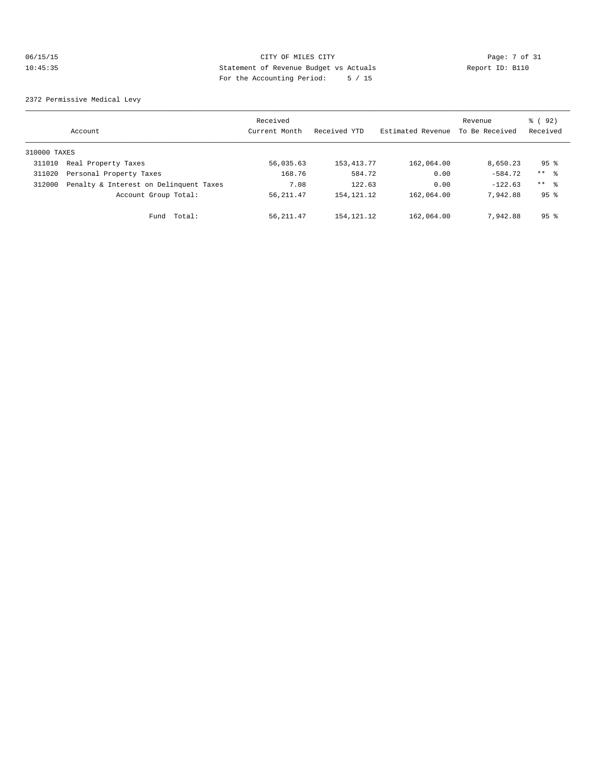# 06/15/15 CITY OF MILES CITY Page: 7 of 31<br>10:45:35 Statement of Revenue Budget vs Actuals Report ID: B110<br>10:45:35 Statement of Revenue Budget vs Actuals 10:45:35 Statement of Revenue Budget vs Actuals Report ID: B110 For the Accounting Period: 5 / 15

2372 Permissive Medical Levy

|              | Account                                | Received<br>Current Month | Received YTD | Estimated Revenue | Revenue<br>To Be Received | 8 (92)<br>Received |
|--------------|----------------------------------------|---------------------------|--------------|-------------------|---------------------------|--------------------|
| 310000 TAXES |                                        |                           |              |                   |                           |                    |
| 311010       | Real Property Taxes                    | 56,035.63                 | 153, 413. 77 | 162,064.00        | 8,650.23                  | 95 <sup>°</sup>    |
| 311020       | Personal Property Taxes                | 168.76                    | 584.72       | 0.00              | $-584.72$                 | $***$ %            |
| 312000       | Penalty & Interest on Delinquent Taxes | 7.08                      | 122.63       | 0.00              | $-122.63$                 | $***$ $ -$         |
|              | Account Group Total:                   | 56, 211.47                | 154, 121. 12 | 162,064.00        | 7.942.88                  | 95 <sup>8</sup>    |
|              | Total:<br>Fund                         | 56, 211.47                | 154, 121. 12 | 162,064.00        | 7.942.88                  | 95 <sup>°</sup>    |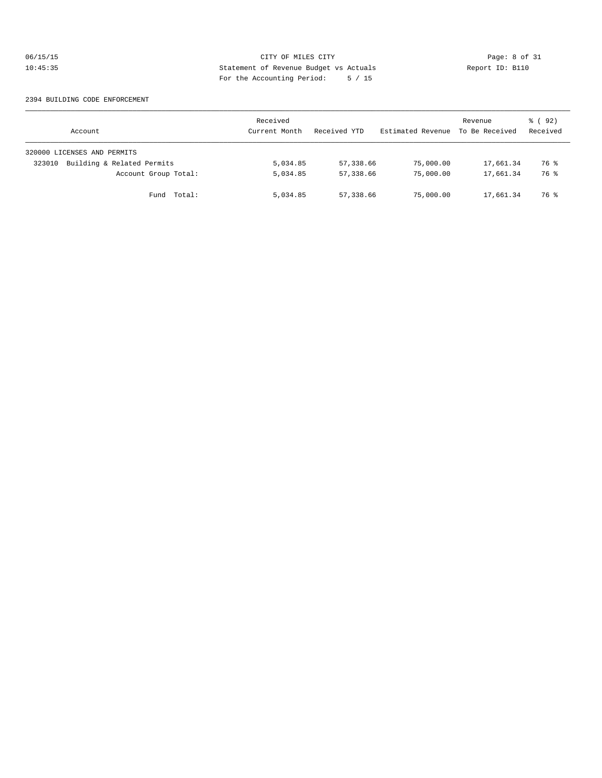# 06/15/15 CITY OF MILES CITY Page: 8 of 31 10:45:35 Statement of Revenue Budget vs Actuals Report ID: B110 For the Accounting Period: 5 / 15

### 2394 BUILDING CODE ENFORCEMENT

| Account                              | Received<br>Current Month | Received YTD | Estimated Revenue | Revenue<br>To Be Received | 8 (92)<br>Received |
|--------------------------------------|---------------------------|--------------|-------------------|---------------------------|--------------------|
| 320000 LICENSES AND PERMITS          |                           |              |                   |                           |                    |
| Building & Related Permits<br>323010 | 5,034.85                  | 57,338.66    | 75,000.00         | 17,661.34                 | 76 %               |
| Account Group Total:                 | 5,034.85                  | 57,338.66    | 75,000.00         | 17,661.34                 | 76 %               |
| Fund Total:                          | 5,034.85                  | 57,338.66    | 75,000.00         | 17,661.34                 | 76 %               |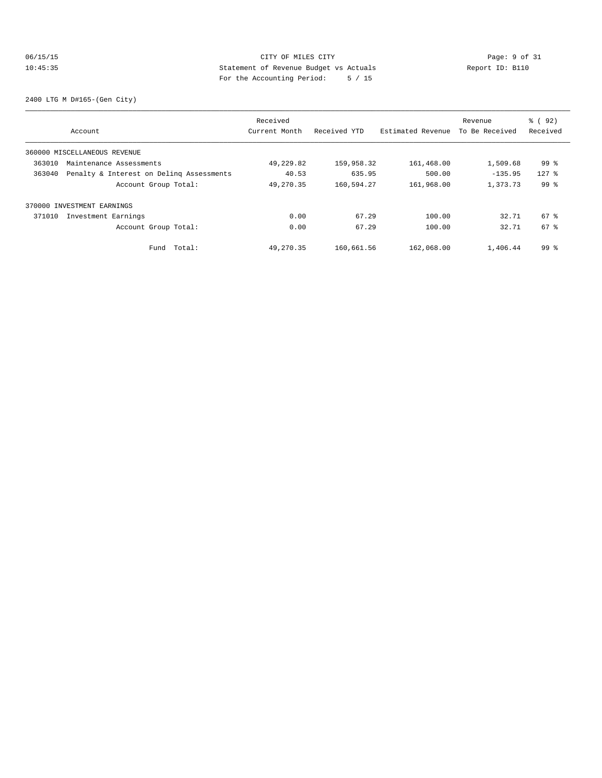# 06/15/15 CITY OF MILES CITY Page: 9 of 31<br>10:45:35 Statement of Revenue Budget vs Actuals Report ID: B110<br>2014 Page: the National Page of Actual Page: 10:45:35 10:45:35 Statement of Revenue Budget vs Actuals Report ID: B110 For the Accounting Period: 5 / 15

2400 LTG M D#165-(Gen City)

|        |                                          | Received      |              |                   | Revenue        | % ( 92 )        |
|--------|------------------------------------------|---------------|--------------|-------------------|----------------|-----------------|
|        | Account                                  | Current Month | Received YTD | Estimated Revenue | To Be Received | Received        |
|        | 360000 MISCELLANEOUS REVENUE             |               |              |                   |                |                 |
| 363010 | Maintenance Assessments                  | 49,229.82     | 159,958.32   | 161,468.00        | 1,509.68       | 99 %            |
| 363040 | Penalty & Interest on Deling Assessments | 40.53         | 635.95       | 500.00            | $-135.95$      | $127$ %         |
|        | Account Group Total:                     | 49,270.35     | 160,594.27   | 161,968.00        | 1,373.73       | 99 <sup>°</sup> |
|        | 370000 INVESTMENT EARNINGS               |               |              |                   |                |                 |
| 371010 | Investment Earnings                      | 0.00          | 67.29        | 100.00            | 32.71          | 67 %            |
|        | Account Group Total:                     | 0.00          | 67.29        | 100.00            | 32.71          | 67 %            |
|        | Total:<br>Fund                           | 49,270.35     | 160,661.56   | 162,068.00        | 1,406.44       | 99 <sup>8</sup> |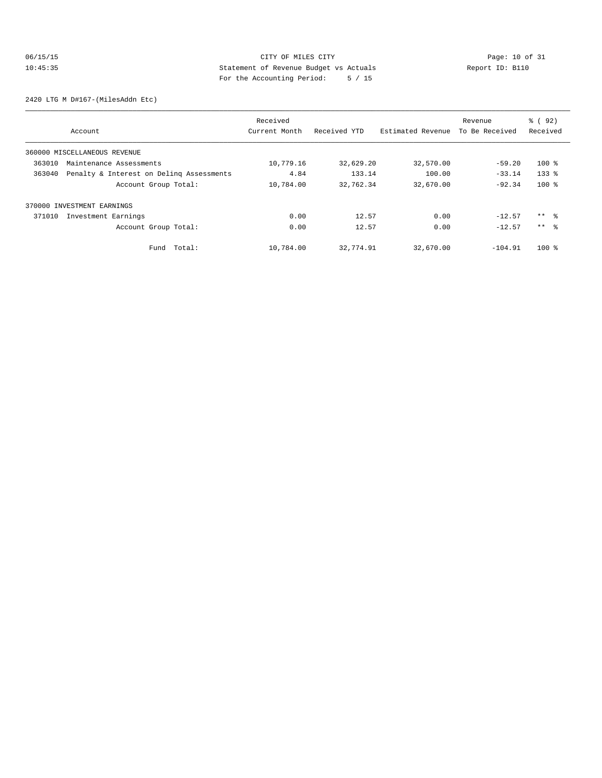# 06/15/15 Page: 10 of 31 10:45:35 Statement of Revenue Budget vs Actuals Report ID: B110 For the Accounting Period: 5 / 15

2420 LTG M D#167-(MilesAddn Etc)

|                                                    |        | Received      |              |                   | Revenue        | % ( 92 )        |
|----------------------------------------------------|--------|---------------|--------------|-------------------|----------------|-----------------|
| Account                                            |        | Current Month | Received YTD | Estimated Revenue | To Be Received | Received        |
| 360000 MISCELLANEOUS REVENUE                       |        |               |              |                   |                |                 |
| 363010<br>Maintenance Assessments                  |        | 10,779.16     | 32,629.20    | 32,570.00         | $-59.20$       | $100*$          |
| Penalty & Interest on Deling Assessments<br>363040 |        | 4.84          | 133.14       | 100.00            | $-33.14$       | $133$ $%$       |
| Account Group Total:                               |        | 10,784.00     | 32,762.34    | 32,670.00         | $-92.34$       | $100$ %         |
| 370000 INVESTMENT EARNINGS                         |        |               |              |                   |                |                 |
| 371010<br>Investment Earnings                      |        | 0.00          | 12.57        | 0.00              | $-12.57$       | $***$ %         |
| Account Group Total:                               |        | 0.00          | 12.57        | 0.00              | $-12.57$       | $***$ $\approx$ |
| Fund                                               | Total: | 10,784.00     | 32,774.91    | 32,670.00         | $-104.91$      | $100*$          |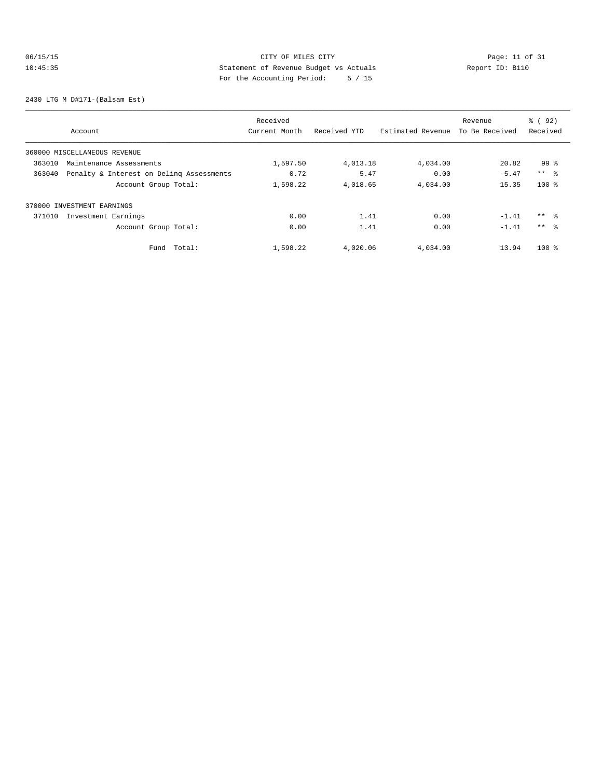# 06/15/15 CITY OF MILES CITY CHE CITY Page: 11 of 31<br>10:45:35 Statement of Revenue Budget vs Actuals Report ID: B110<br>10:45:35 Statement of Revenue Budget vs Actuals 10:45:35 Statement of Revenue Budget vs Actuals Report ID: B110 For the Accounting Period: 5 / 15

2430 LTG M D#171-(Balsam Est)

|        |                                          | Received      |              |                   | Revenue        | % ( 92 )        |
|--------|------------------------------------------|---------------|--------------|-------------------|----------------|-----------------|
|        | Account                                  | Current Month | Received YTD | Estimated Revenue | To Be Received | Received        |
|        | 360000 MISCELLANEOUS REVENUE             |               |              |                   |                |                 |
| 363010 | Maintenance Assessments                  | 1,597.50      | 4,013.18     | 4,034.00          | 20.82          | 99 %            |
| 363040 | Penalty & Interest on Deling Assessments | 0.72          | 5.47         | 0.00              | $-5.47$        | $***$ %         |
|        | Account Group Total:                     | 1,598.22      | 4,018.65     | 4,034.00          | 15.35          | $100$ %         |
|        | 370000 INVESTMENT EARNINGS               |               |              |                   |                |                 |
| 371010 | Investment Earnings                      | 0.00          | 1.41         | 0.00              | $-1.41$        | $***$ %         |
|        | Account Group Total:                     | 0.00          | 1.41         | 0.00              | $-1.41$        | $***$ $\approx$ |
|        | Total:<br>Fund                           | 1,598.22      | 4,020.06     | 4,034.00          | 13.94          | $100$ %         |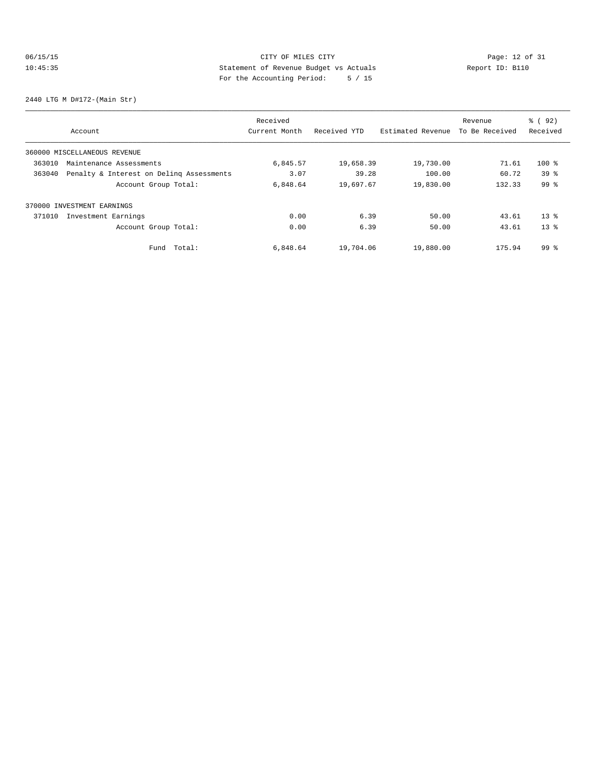# 06/15/15 Page: 12 of 31 10:45:35 Statement of Revenue Budget vs Actuals Report ID: B110 For the Accounting Period: 5 / 15

2440 LTG M D#172-(Main Str)

|        |                                          | Received      |              |                   | Revenue        | % ( 92 )        |
|--------|------------------------------------------|---------------|--------------|-------------------|----------------|-----------------|
|        | Account                                  | Current Month | Received YTD | Estimated Revenue | To Be Received | Received        |
|        | 360000 MISCELLANEOUS REVENUE             |               |              |                   |                |                 |
| 363010 | Maintenance Assessments                  | 6,845.57      | 19,658.39    | 19,730.00         | 71.61          | $100*$          |
| 363040 | Penalty & Interest on Deling Assessments | 3.07          | 39.28        | 100.00            | 60.72          | 39 <sup>8</sup> |
|        | Account Group Total:                     | 6,848.64      | 19,697.67    | 19,830.00         | 132.33         | 99 <sup>8</sup> |
|        | 370000 INVESTMENT EARNINGS               |               |              |                   |                |                 |
| 371010 | Investment Earnings                      | 0.00          | 6.39         | 50.00             | 43.61          | $13*$           |
|        | Account Group Total:                     | 0.00          | 6.39         | 50.00             | 43.61          | $13*$           |
|        | Total:<br>Fund                           | 6,848.64      | 19,704.06    | 19,880.00         | 175.94         | 99 <sup>8</sup> |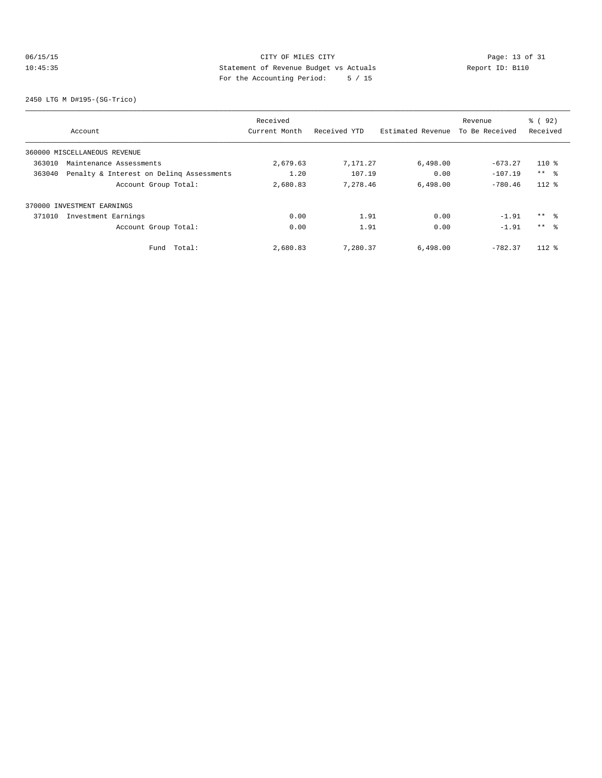# 06/15/15 Page: 13 of 31 10:45:35 Statement of Revenue Budget vs Actuals Report ID: B110 For the Accounting Period: 5 / 15

2450 LTG M D#195-(SG-Trico)

|        |                                          | Received      |              |                   | Revenue        | % ( 92 )        |
|--------|------------------------------------------|---------------|--------------|-------------------|----------------|-----------------|
|        | Account                                  | Current Month | Received YTD | Estimated Revenue | To Be Received | Received        |
|        | 360000 MISCELLANEOUS REVENUE             |               |              |                   |                |                 |
| 363010 | Maintenance Assessments                  | 2,679.63      | 7,171.27     | 6,498.00          | $-673.27$      | $110*$          |
| 363040 | Penalty & Interest on Deling Assessments | 1.20          | 107.19       | 0.00              | $-107.19$      | $***$ %         |
|        | Account Group Total:                     | 2,680.83      | 7.278.46     | 6.498.00          | $-780.46$      | $112*$          |
|        | 370000 INVESTMENT EARNINGS               |               |              |                   |                |                 |
| 371010 | Investment Earnings                      | 0.00          | 1.91         | 0.00              | $-1.91$        | ** %            |
|        | Account Group Total:                     | 0.00          | 1.91         | 0.00              | $-1.91$        | $***$ $\approx$ |
|        | Total:<br>Fund                           | 2,680.83      | 7,280.37     | 6,498.00          | $-782.37$      | $112*$          |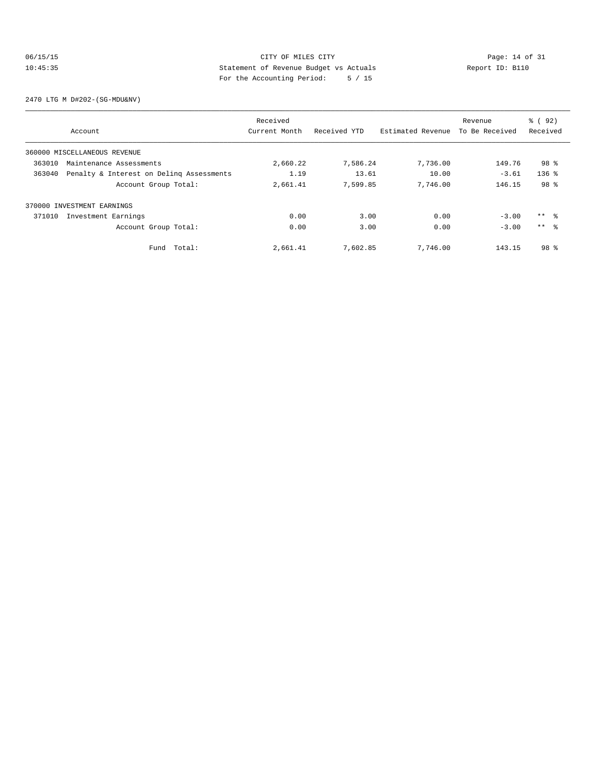# 06/15/15 Page: 14 of 31 10:45:35 Statement of Revenue Budget vs Actuals Report ID: B110 For the Accounting Period: 5 / 15

2470 LTG M D#202-(SG-MDU&NV)

|        |                                          | Received      |              |                   | Revenue        | % ( 92)         |
|--------|------------------------------------------|---------------|--------------|-------------------|----------------|-----------------|
|        | Account                                  | Current Month | Received YTD | Estimated Revenue | To Be Received | Received        |
|        | 360000 MISCELLANEOUS REVENUE             |               |              |                   |                |                 |
| 363010 | Maintenance Assessments                  | 2,660.22      | 7,586.24     | 7,736.00          | 149.76         | 98 %            |
| 363040 | Penalty & Interest on Deling Assessments | 1.19          | 13.61        | 10.00             | $-3.61$        | $136$ %         |
|        | Account Group Total:                     | 2,661.41      | 7,599.85     | 7,746.00          | 146.15         | 98 %            |
|        | 370000 INVESTMENT EARNINGS               |               |              |                   |                |                 |
| 371010 | Investment Earnings                      | 0.00          | 3.00         | 0.00              | $-3.00$        | $***$ $ -$      |
|        | Account Group Total:                     | 0.00          | 3.00         | 0.00              | $-3.00$        | $***$ $\approx$ |
|        | Fund Total:                              | 2,661.41      | 7,602.85     | 7.746.00          | 143.15         | 98 <sup>8</sup> |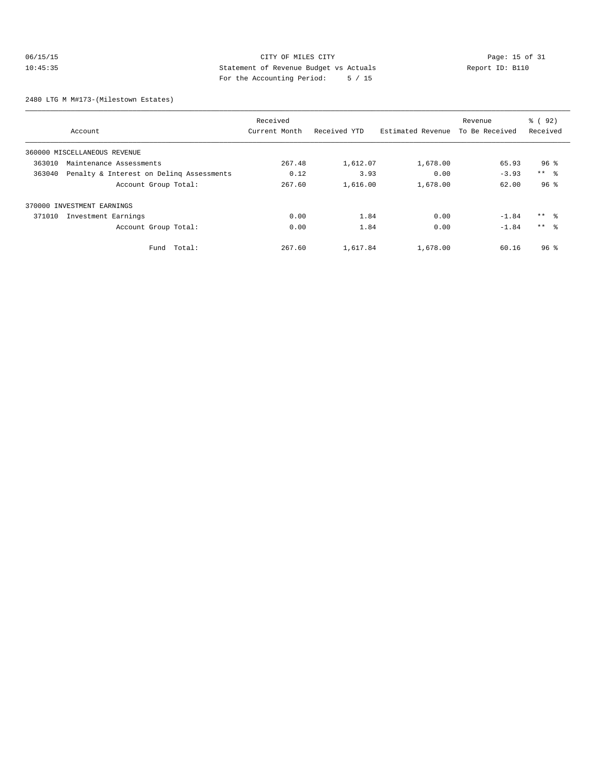# 06/15/15 CITY OF MILES CITY<br>10:45:35 CITY OF MILES CITY<br>2014-15:35 CITY Deport ID: B110 10:45:35 Statement of Revenue Budget vs Actuals Report ID: B110 For the Accounting Period: 5 / 15

2480 LTG M M#173-(Milestown Estates)

|        |                                          | Received      |              |                   | Revenue        | % ( 92)         |
|--------|------------------------------------------|---------------|--------------|-------------------|----------------|-----------------|
|        | Account                                  | Current Month | Received YTD | Estimated Revenue | To Be Received | Received        |
|        | 360000 MISCELLANEOUS REVENUE             |               |              |                   |                |                 |
| 363010 | Maintenance Assessments                  | 267.48        | 1,612.07     | 1,678.00          | 65.93          | 96 <sup>8</sup> |
| 363040 | Penalty & Interest on Deling Assessments | 0.12          | 3.93         | 0.00              | $-3.93$        | $***$ $ -$      |
|        | Account Group Total:                     | 267.60        | 1,616.00     | 1,678.00          | 62.00          | 96 <sup>8</sup> |
|        | 370000 INVESTMENT EARNINGS               |               |              |                   |                |                 |
| 371010 | Investment Earnings                      | 0.00          | 1.84         | 0.00              | $-1.84$        | $***$ $\approx$ |
|        | Account Group Total:                     | 0.00          | 1.84         | 0.00              | $-1.84$        | $***$ 8         |
|        | Total:<br>Fund                           | 267.60        | 1,617.84     | 1,678.00          | 60.16          | 96 <sup>8</sup> |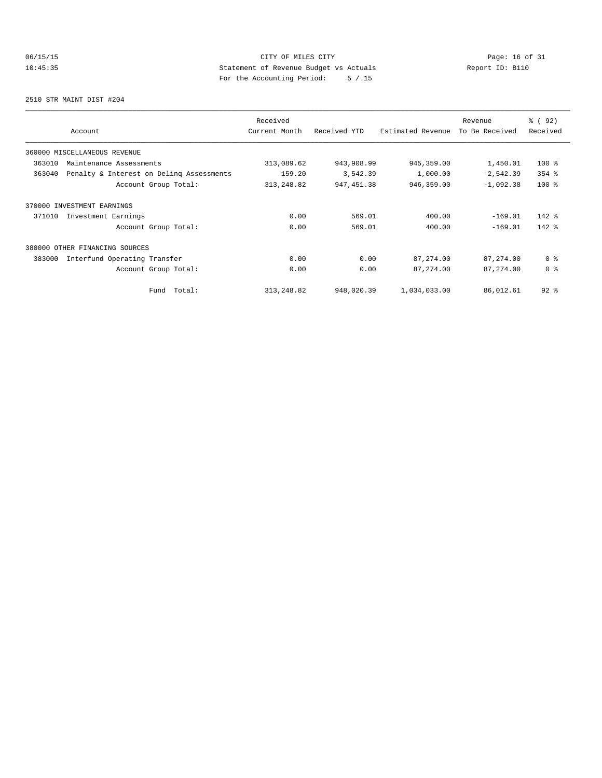# 06/15/15 Page: 16 of 31 10:45:35 Statement of Revenue Budget vs Actuals Report ID: B110 For the Accounting Period: 5 / 15

2510 STR MAINT DIST #204

| Account                                            | Received<br>Current Month | Received YTD | Estimated Revenue | Revenue<br>To Be Received | % ( 92 )<br>Received |
|----------------------------------------------------|---------------------------|--------------|-------------------|---------------------------|----------------------|
| 360000 MISCELLANEOUS REVENUE                       |                           |              |                   |                           |                      |
| 363010<br>Maintenance Assessments                  | 313,089.62                | 943,908.99   | 945, 359.00       | 1,450.01                  | $100*$               |
| 363040<br>Penalty & Interest on Deling Assessments | 159.20                    | 3,542.39     | 1,000.00          | $-2,542.39$               | $354$ $%$            |
| Account Group Total:                               | 313, 248.82               | 947, 451.38  | 946,359.00        | $-1,092.38$               | $100*$               |
| 370000 INVESTMENT EARNINGS                         |                           |              |                   |                           |                      |
| Investment Earnings<br>371010                      | 0.00                      | 569.01       | 400.00            | $-169.01$                 | $142$ %              |
| Account Group Total:                               | 0.00                      | 569.01       | 400.00            | $-169.01$                 | $142$ %              |
| 380000<br>OTHER FINANCING SOURCES                  |                           |              |                   |                           |                      |
| 383000<br>Interfund Operating Transfer             | 0.00                      | 0.00         | 87,274.00         | 87, 274.00                | 0 <sup>8</sup>       |
| Account Group Total:                               | 0.00                      | 0.00         | 87, 274.00        | 87, 274.00                | 0 <sup>8</sup>       |
| Total:<br>Fund                                     | 313, 248.82               | 948,020.39   | 1,034,033.00      | 86,012.61                 | $92$ $%$             |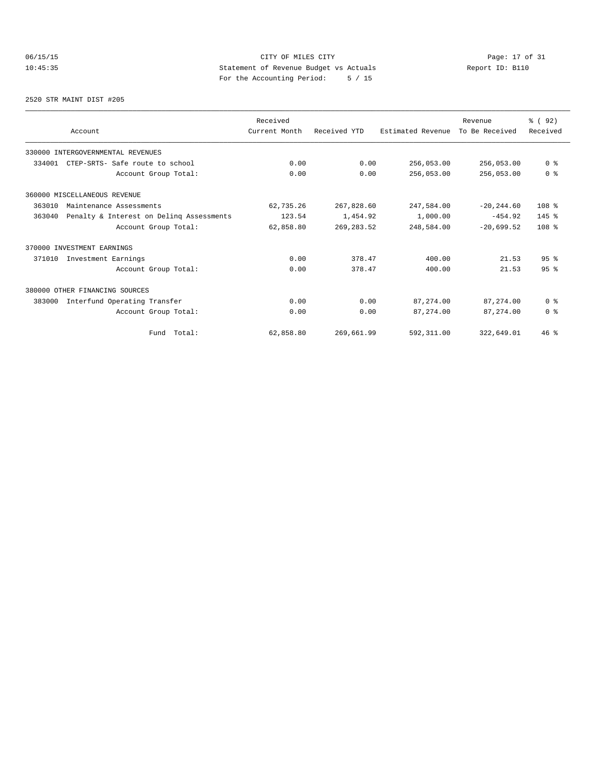# 06/15/15 CITY OF MILES CITY CHE CITY Page: 17 of 31<br>10:45:35 Statement of Revenue Budget vs Actuals Report ID: B110<br>For the Accounting Popied: 5 (15 10:45:35 Statement of Revenue Budget vs Actuals Report ID: B110 For the Accounting Period: 5 / 15

#### 2520 STR MAINT DIST #205

|        |                                          | Received      |              |                   | Revenue        | % (92)           |
|--------|------------------------------------------|---------------|--------------|-------------------|----------------|------------------|
|        | Account                                  | Current Month | Received YTD | Estimated Revenue | To Be Received | Received         |
|        | 330000 INTERGOVERNMENTAL REVENUES        |               |              |                   |                |                  |
| 334001 | CTEP-SRTS- Safe route to school          | 0.00          | 0.00         | 256,053.00        | 256,053.00     | 0 <sup>8</sup>   |
|        | Account Group Total:                     | 0.00          | 0.00         | 256,053.00        | 256,053.00     | 0 <sup>8</sup>   |
|        | 360000 MISCELLANEOUS REVENUE             |               |              |                   |                |                  |
| 363010 | Maintenance Assessments                  | 62,735.26     | 267,828.60   | 247,584.00        | $-20, 244.60$  | 108 <sup>8</sup> |
| 363040 | Penalty & Interest on Deling Assessments | 123.54        | 1,454.92     | 1,000.00          | $-454.92$      | $145$ %          |
|        | Account Group Total:                     | 62,858.80     | 269, 283.52  | 248,584.00        | $-20.699.52$   | 108 <sup>8</sup> |
|        | 370000 INVESTMENT EARNINGS               |               |              |                   |                |                  |
| 371010 | Investment Earnings                      | 0.00          | 378.47       | 400.00            | 21.53          | 95 <sup>8</sup>  |
|        | Account Group Total:                     | 0.00          | 378.47       | 400.00            | 21.53          | 95 <sup>8</sup>  |
|        | 380000 OTHER FINANCING SOURCES           |               |              |                   |                |                  |
| 383000 | Interfund Operating Transfer             | 0.00          | 0.00         | 87, 274, 00       | 87, 274, 00    | 0 <sup>8</sup>   |
|        | Account Group Total:                     | 0.00          | 0.00         | 87, 274.00        | 87,274.00      | 0 <sup>8</sup>   |
|        | Fund Total:                              | 62,858.80     | 269,661.99   | 592,311.00        | 322,649.01     | $46$ %           |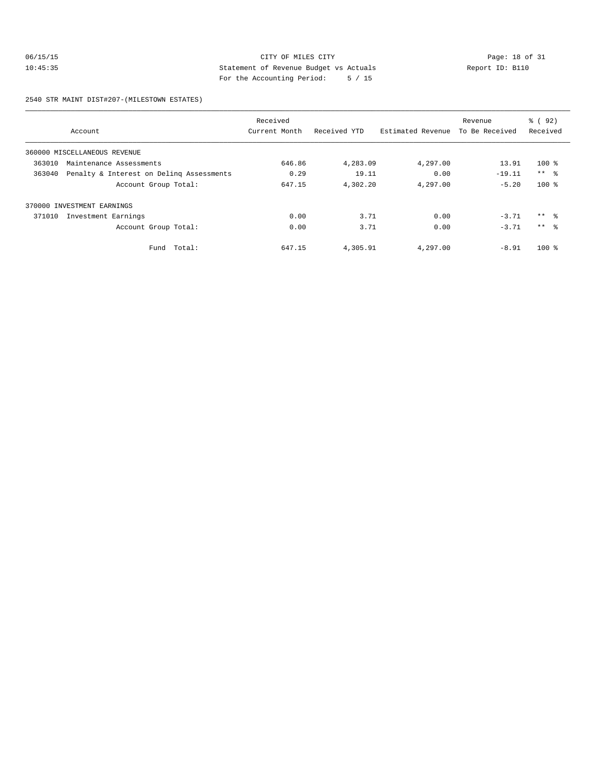# 06/15/15 CITY OF MILES CITY Page: 18 of 31 10:45:35 Statement of Revenue Budget vs Actuals Report ID: B110 For the Accounting Period: 5 / 15

2540 STR MAINT DIST#207-(MILESTOWN ESTATES)

|        |                                          | Received      |              |                   | Revenue        | $\frac{6}{6}$ (92) |
|--------|------------------------------------------|---------------|--------------|-------------------|----------------|--------------------|
|        | Account                                  | Current Month | Received YTD | Estimated Revenue | To Be Received | Received           |
|        | 360000 MISCELLANEOUS REVENUE             |               |              |                   |                |                    |
| 363010 | Maintenance Assessments                  | 646.86        | 4,283.09     | 4,297.00          | 13.91          | $100*$             |
| 363040 | Penalty & Interest on Deling Assessments | 0.29          | 19.11        | 0.00              | $-19.11$       | $***$ $ -$         |
|        | Account Group Total:                     | 647.15        | 4,302.20     | 4,297.00          | $-5.20$        | $100$ %            |
|        | 370000 INVESTMENT EARNINGS               |               |              |                   |                |                    |
| 371010 | Investment Earnings                      | 0.00          | 3.71         | 0.00              | $-3.71$        | $***$ 8            |
|        | Account Group Total:                     | 0.00          | 3.71         | 0.00              | $-3.71$        | $***$ $\approx$    |
|        | Fund Total:                              | 647.15        | 4,305.91     | 4,297.00          | $-8.91$        | $100*$             |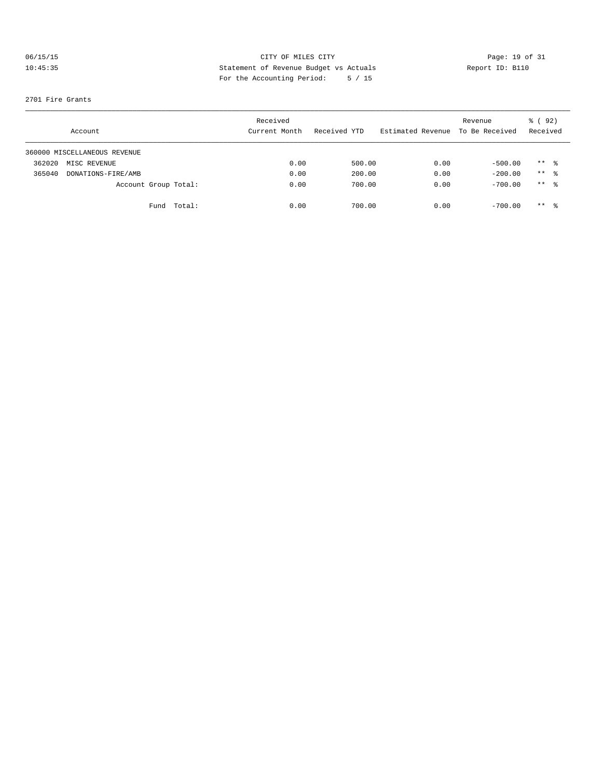# 06/15/15 CITY OF MILES CITY Page: 19 of 31 10:45:35 Statement of Revenue Budget vs Actuals Report ID: B110 For the Accounting Period: 5 / 15

### 2701 Fire Grants

|        | Account                      |                      | Received<br>Current Month | Received YTD | Estimated Revenue | Revenue<br>To Be Received | % ( 92 )<br>Received |  |
|--------|------------------------------|----------------------|---------------------------|--------------|-------------------|---------------------------|----------------------|--|
|        | 360000 MISCELLANEOUS REVENUE |                      |                           |              |                   |                           |                      |  |
| 362020 | MISC REVENUE                 |                      | 0.00                      | 500.00       | 0.00              | $-500.00$                 | $***$ $\frac{6}{5}$  |  |
| 365040 | DONATIONS-FIRE/AMB           |                      | 0.00                      | 200.00       | 0.00              | $-200.00$                 | $***$ 8              |  |
|        |                              | Account Group Total: | 0.00                      | 700.00       | 0.00              | $-700.00$                 | $***$ 8              |  |
|        |                              | Total:<br>Fund       | 0.00                      | 700.00       | 0.00              | $-700.00$                 | $***$ 8              |  |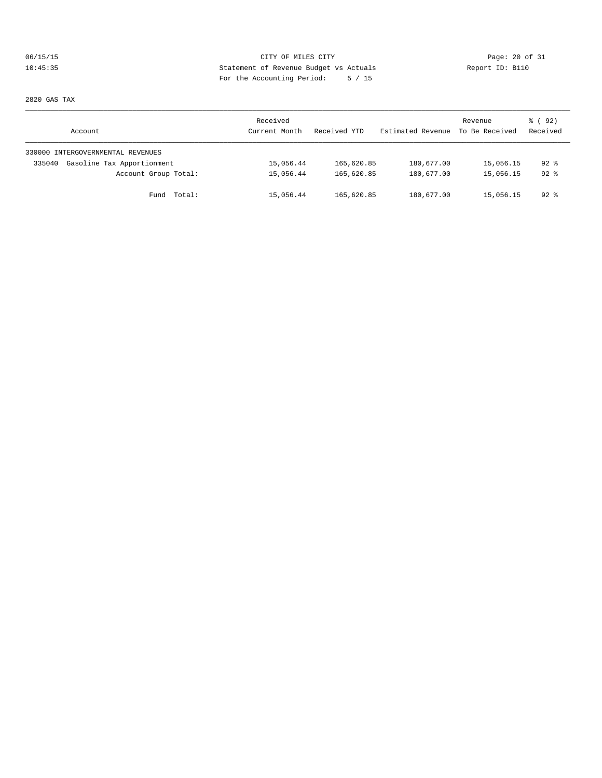# 06/15/15 CITY OF MILES CITY Page: 20 of 31 10:45:35 Statement of Revenue Budget vs Actuals Report ID: B110 For the Accounting Period: 5 / 15

2820 GAS TAX

| Account                              | Received<br>Current Month | Received YTD | Estimated Revenue | Revenue<br>To Be Received | 8 (92)<br>Received |
|--------------------------------------|---------------------------|--------------|-------------------|---------------------------|--------------------|
| 330000 INTERGOVERNMENTAL REVENUES    |                           |              |                   |                           |                    |
| Gasoline Tax Apportionment<br>335040 | 15,056.44                 | 165,620.85   | 180,677.00        | 15,056.15                 | 92 %               |
| Account Group Total:                 | 15,056.44                 | 165,620.85   | 180,677.00        | 15,056.15                 | $92$ $%$           |
| Fund Total:                          | 15,056.44                 | 165,620.85   | 180,677.00        | 15,056.15                 | $92$ %             |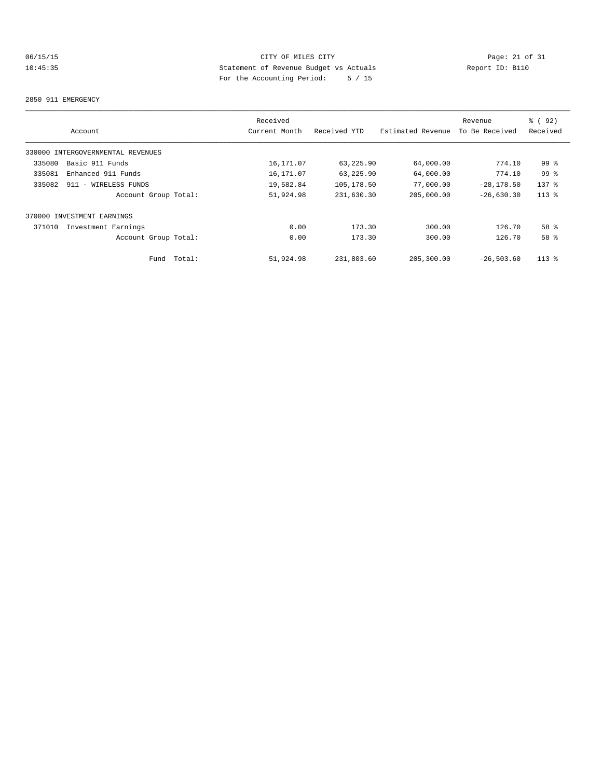# 06/15/15 CITY OF MILES CITY Page: 21 of 31 10:45:35 Statement of Revenue Budget vs Actuals Report ID: B110 For the Accounting Period: 5 / 15

### 2850 911 EMERGENCY

|        |                                   | Received      |              |                   | Revenue        | % ( 92 )        |
|--------|-----------------------------------|---------------|--------------|-------------------|----------------|-----------------|
|        | Account                           | Current Month | Received YTD | Estimated Revenue | To Be Received | Received        |
|        | 330000 INTERGOVERNMENTAL REVENUES |               |              |                   |                |                 |
| 335080 | Basic 911 Funds                   | 16, 171.07    | 63,225.90    | 64,000.00         | 774.10         | 99 <sub>8</sub> |
| 335081 | Enhanced 911 Funds                | 16, 171.07    | 63,225.90    | 64,000.00         | 774.10         | 99 <sup>°</sup> |
| 335082 | 911 - WIRELESS FUNDS              | 19,582.84     | 105,178.50   | 77,000.00         | $-28, 178.50$  | $137$ $%$       |
|        | Account Group Total:              | 51,924.98     | 231,630.30   | 205,000.00        | $-26,630.30$   | $113*$          |
|        | 370000 INVESTMENT EARNINGS        |               |              |                   |                |                 |
| 371010 | Investment Earnings               | 0.00          | 173.30       | 300.00            | 126.70         | 58 <sup>8</sup> |
|        | Account Group Total:              | 0.00          | 173.30       | 300.00            | 126.70         | 58 %            |
|        | Total:<br>Fund                    | 51,924.98     | 231,803.60   | 205,300.00        | $-26.503.60$   | $113*$          |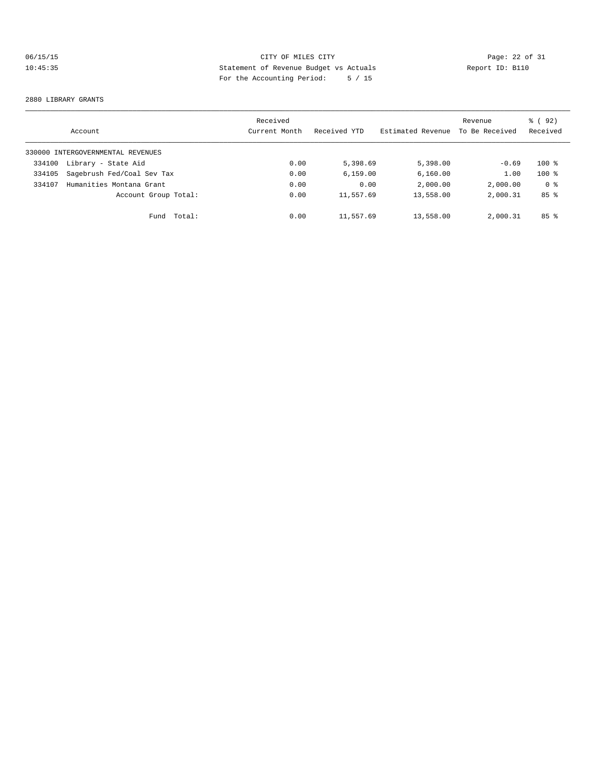# 06/15/15 CITY OF MILES CITY<br>10:45:35 22 of 31<br>For the Accounting Device: The College of Actuals<br>For the Accounting Device: The College of Actuals 10:45:35 Statement of Revenue Budget vs Actuals Report ID: B110 For the Accounting Period: 5 / 15

#### 2880 LIBRARY GRANTS

|        | Account                           | Received<br>Current Month | Received YTD | Estimated Revenue | Revenue<br>To Be Received | 8 (92)<br>Received |
|--------|-----------------------------------|---------------------------|--------------|-------------------|---------------------------|--------------------|
|        | 330000 INTERGOVERNMENTAL REVENUES |                           |              |                   |                           |                    |
| 334100 | Library - State Aid               | 0.00                      | 5,398.69     | 5,398.00          | $-0.69$                   | $100*$             |
| 334105 | Sagebrush Fed/Coal Sev Tax        | 0.00                      | 6, 159.00    | 6,160.00          | 1.00                      | $100*$             |
| 334107 | Humanities Montana Grant          | 0.00                      | 0.00         | 2,000.00          | 2,000.00                  | 0 <sup>8</sup>     |
|        | Account Group Total:              | 0.00                      | 11,557.69    | 13,558.00         | 2,000.31                  | 85 <sup>8</sup>    |
|        | Total:<br>Fund                    | 0.00                      | 11,557.69    | 13,558.00         | 2,000.31                  | 85 <sup>8</sup>    |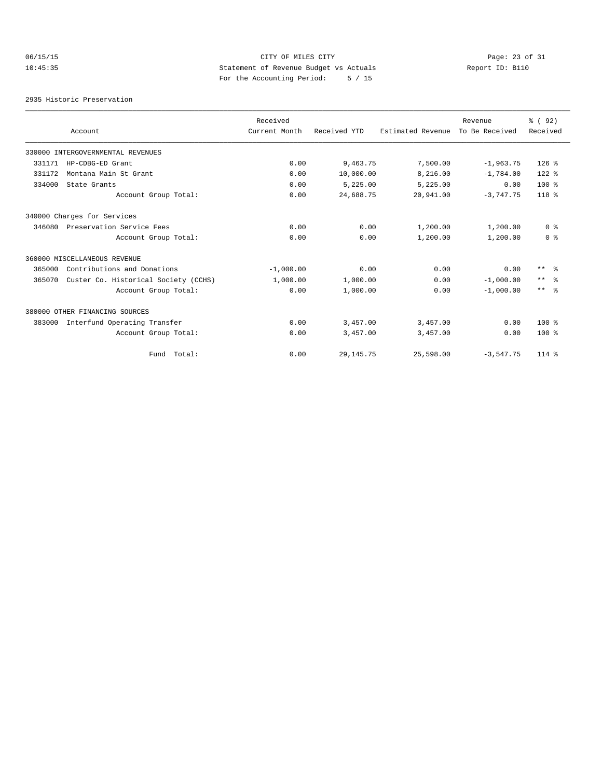# 06/15/15 CITY OF MILES CITY Page: 23 of 31 10:45:35 Statement of Revenue Budget vs Actuals Report ID: B110 For the Accounting Period: 5 / 15

2935 Historic Preservation

|        |                                      | Received      |              |                   | Revenue        | % (92)         |
|--------|--------------------------------------|---------------|--------------|-------------------|----------------|----------------|
|        | Account                              | Current Month | Received YTD | Estimated Revenue | To Be Received | Received       |
|        | 330000 INTERGOVERNMENTAL REVENUES    |               |              |                   |                |                |
| 331171 | HP-CDBG-ED Grant                     | 0.00          | 9,463.75     | 7,500.00          | $-1,963.75$    | $126$ %        |
| 331172 | Montana Main St Grant                | 0.00          | 10,000.00    | 8,216.00          | $-1,784.00$    | $122$ $%$      |
| 334000 | State Grants                         | 0.00          | 5,225.00     | 5,225.00          | 0.00           | $100*$         |
|        | Account Group Total:                 | 0.00          | 24,688.75    | 20,941.00         | $-3,747.75$    | $118*$         |
|        | 340000 Charges for Services          |               |              |                   |                |                |
| 346080 | Preservation Service Fees            | 0.00          | 0.00         | 1,200.00          | 1,200.00       | 0 <sup>8</sup> |
|        | Account Group Total:                 | 0.00          | 0.00         | 1,200.00          | 1,200.00       | 0 <sup>8</sup> |
|        | 360000 MISCELLANEOUS REVENUE         |               |              |                   |                |                |
| 365000 | Contributions and Donations          | $-1,000.00$   | 0.00         | 0.00              | 0.00           | $***$ $ -$     |
| 365070 | Custer Co. Historical Society (CCHS) | 1,000.00      | 1,000.00     | 0.00              | $-1,000.00$    | $***$ $ -$     |
|        | Account Group Total:                 | 0.00          | 1,000.00     | 0.00              | $-1.000.00$    | $***$ $%$      |
|        | 380000 OTHER FINANCING SOURCES       |               |              |                   |                |                |
| 383000 | Interfund Operating Transfer         | 0.00          | 3,457.00     | 3,457.00          | 0.00           | $100*$         |
|        | Account Group Total:                 | 0.00          | 3,457.00     | 3,457.00          | 0.00           | $100*$         |
|        | Fund Total:                          | 0.00          | 29, 145. 75  | 25,598.00         | $-3,547.75$    | $114*$         |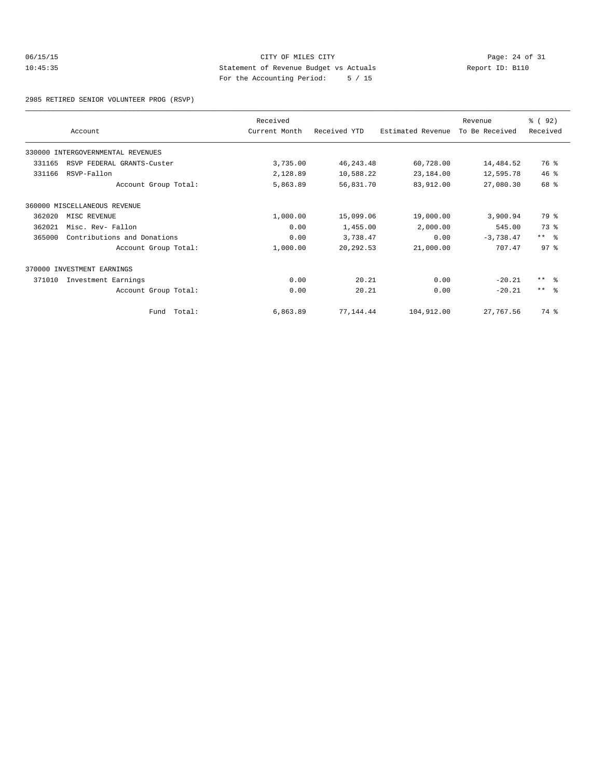# 06/15/15 CITY OF MILES CITY Page: 24 of 31 10:45:35 Statement of Revenue Budget vs Actuals Report ID: B110 For the Accounting Period: 5 / 15

2985 RETIRED SENIOR VOLUNTEER PROG (RSVP)

|        |                                   | Received      |              |                   | Revenue        | % (92)          |
|--------|-----------------------------------|---------------|--------------|-------------------|----------------|-----------------|
|        | Account                           | Current Month | Received YTD | Estimated Revenue | To Be Received | Received        |
|        | 330000 INTERGOVERNMENTAL REVENUES |               |              |                   |                |                 |
| 331165 | RSVP FEDERAL GRANTS-Custer        | 3,735.00      | 46, 243.48   | 60,728.00         | 14,484.52      | 76 %            |
| 331166 | RSVP-Fallon                       | 2,128.89      | 10,588.22    | 23,184.00         | 12,595.78      | 46%             |
|        | Account Group Total:              | 5,863.89      | 56,831.70    | 83,912.00         | 27,080.30      | 68 %            |
|        | 360000 MISCELLANEOUS REVENUE      |               |              |                   |                |                 |
| 362020 | MISC REVENUE                      | 1,000.00      | 15,099.06    | 19,000.00         | 3,900.94       | 79 %            |
| 362021 | Misc. Rev- Fallon                 | 0.00          | 1,455.00     | 2,000.00          | 545.00         | 73 %            |
| 365000 | Contributions and Donations       | 0.00          | 3,738.47     | 0.00              | $-3,738.47$    | $***$ $ -$      |
|        | Account Group Total:              | 1,000.00      | 20, 292.53   | 21,000.00         | 707.47         | 97 <sup>°</sup> |
|        | 370000 INVESTMENT EARNINGS        |               |              |                   |                |                 |
| 371010 | Investment Earnings               | 0.00          | 20.21        | 0.00              | $-20.21$       | $***$ $ -$      |
|        | Account Group Total:              | 0.00          | 20.21        | 0.00              | $-20.21$       | $***$ $\approx$ |
|        | Fund Total:                       | 6,863.89      | 77,144.44    | 104,912.00        | 27,767.56      | 74 %            |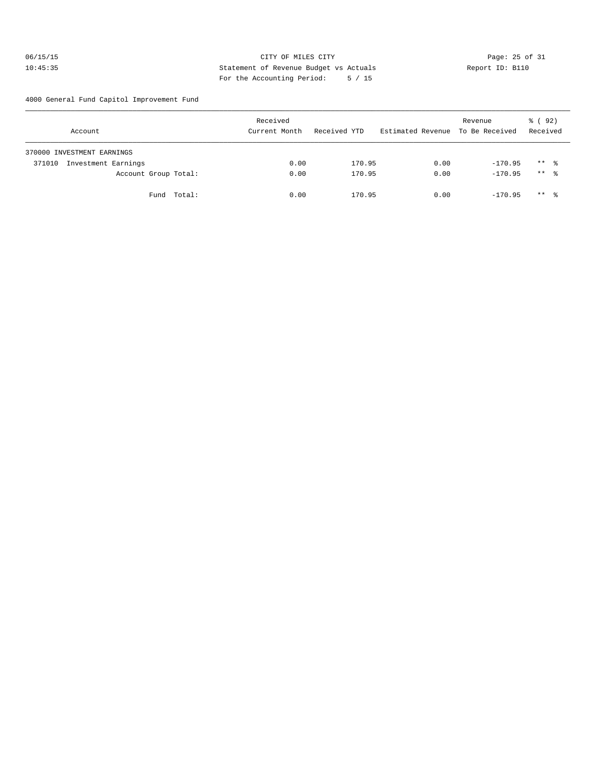# 06/15/15 Page: 25 of 31 10:45:35 Statement of Revenue Budget vs Actuals Report ID: B110 For the Accounting Period: 5 / 15

4000 General Fund Capitol Improvement Fund

| Account                       | Received<br>Current Month | Received YTD | Estimated Revenue To Be Received | Revenue   | % ( 92 )<br>Received |
|-------------------------------|---------------------------|--------------|----------------------------------|-----------|----------------------|
| 370000 INVESTMENT EARNINGS    |                           |              |                                  |           |                      |
| Investment Earnings<br>371010 | 0.00                      | 170.95       | 0.00                             | $-170.95$ | $***$ %              |
| Account Group Total:          | 0.00                      | 170.95       | 0.00                             | $-170.95$ | $***$ %              |
| Fund Total:                   | 0.00                      | 170.95       | 0.00                             | $-170.95$ | $***$ %              |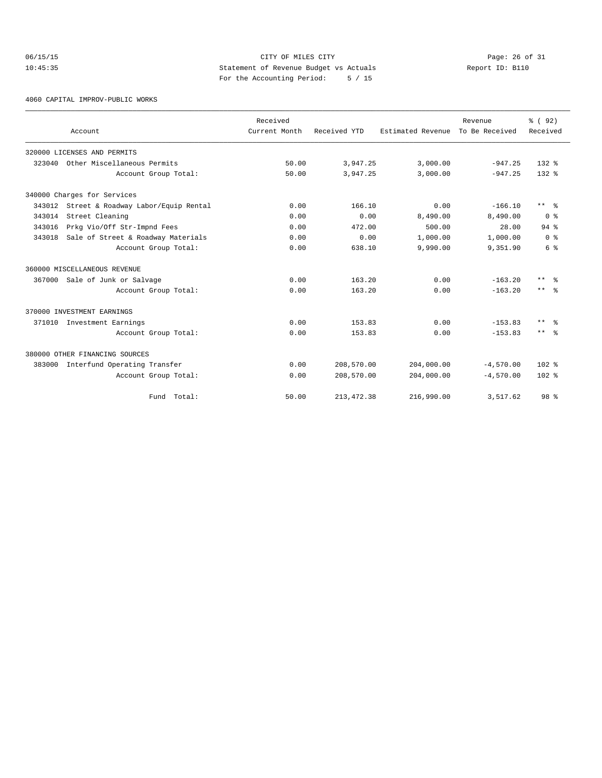# 06/15/15 CITY OF MILES CITY Page: 26 of 31 10:45:35 Statement of Revenue Budget vs Actuals Report ID: B110 For the Accounting Period: 5 / 15

4060 CAPITAL IMPROV-PUBLIC WORKS

|        |                                     | Received      |              |                   | Revenue        | % (92)                  |
|--------|-------------------------------------|---------------|--------------|-------------------|----------------|-------------------------|
|        | Account                             | Current Month | Received YTD | Estimated Revenue | To Be Received | Received                |
|        | 320000 LICENSES AND PERMITS         |               |              |                   |                |                         |
| 323040 | Other Miscellaneous Permits         | 50.00         | 3,947.25     | 3,000.00          | $-947.25$      | $132*$                  |
|        | Account Group Total:                | 50.00         | 3,947.25     | 3,000.00          | $-947.25$      | $132*$                  |
|        | 340000 Charges for Services         |               |              |                   |                |                         |
| 343012 | Street & Roadway Labor/Equip Rental | 0.00          | 166.10       | 0.00              | $-166.10$      | $***$ $\approx$         |
| 343014 | Street Cleaning                     | 0.00          | 0.00         | 8,490.00          | 8,490.00       | 0 <sup>8</sup>          |
| 343016 | Prkg Vio/Off Str-Impnd Fees         | 0.00          | 472.00       | 500.00            | 28.00          | $94$ $%$                |
| 343018 | Sale of Street & Roadway Materials  | 0.00          | 0.00         | 1,000.00          | 1,000.00       | 0 <sup>8</sup>          |
|        | Account Group Total:                | 0.00          | 638.10       | 9,990.00          | 9,351.90       | 6 %                     |
|        | 360000 MISCELLANEOUS REVENUE        |               |              |                   |                |                         |
|        | 367000 Sale of Junk or Salvage      | 0.00          | 163.20       | 0.00              | $-163.20$      | $***$ $=$ $\frac{6}{5}$ |
|        | Account Group Total:                | 0.00          | 163.20       | 0.00              | $-163.20$      | $***$ $\approx$         |
|        | 370000 INVESTMENT EARNINGS          |               |              |                   |                |                         |
|        | 371010 Investment Earnings          | 0.00          | 153.83       | 0.00              | $-153.83$      | $***$ $%$               |
|        | Account Group Total:                | 0.00          | 153.83       | 0.00              | $-153.83$      | $***$ $\approx$         |
|        | 380000 OTHER FINANCING SOURCES      |               |              |                   |                |                         |
| 383000 | Interfund Operating Transfer        | 0.00          | 208,570.00   | 204,000.00        | $-4,570.00$    | $102$ %                 |
|        | Account Group Total:                | 0.00          | 208,570.00   | 204,000.00        | $-4.570.00$    | $102*$                  |
|        | Fund Total:                         | 50.00         | 213, 472.38  | 216,990.00        | 3,517.62       | 98 %                    |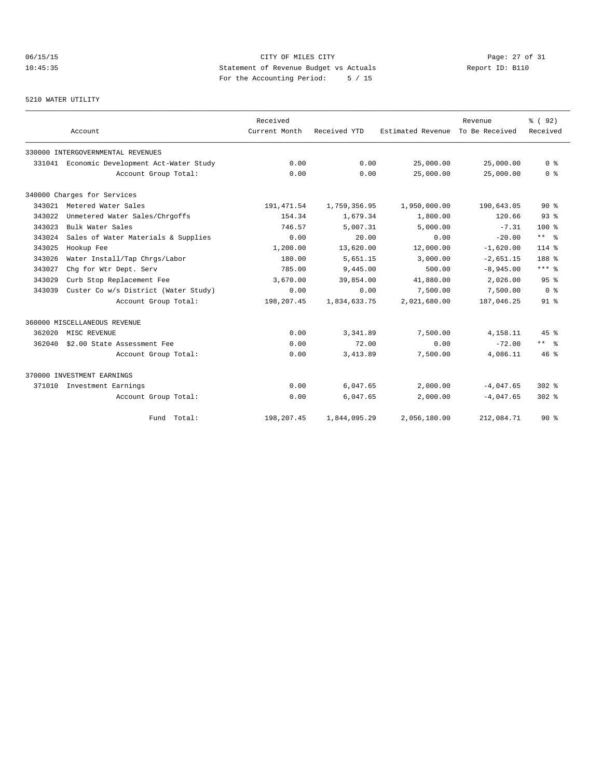# 06/15/15 Page: 27 of 31 10:45:35 Statement of Revenue Budget vs Actuals Report ID: B110 For the Accounting Period: 5 / 15

### 5210 WATER UTILITY

|        | Account                                     | Received<br>Current Month | Received YTD | Estimated Revenue | Revenue<br>To Be Received | % (92)<br>Received   |
|--------|---------------------------------------------|---------------------------|--------------|-------------------|---------------------------|----------------------|
|        | 330000 INTERGOVERNMENTAL REVENUES           |                           |              |                   |                           |                      |
|        | 331041 Economic Development Act-Water Study | 0.00                      | 0.00         | 25,000.00         | 25,000.00                 | 0 <sup>8</sup>       |
|        | Account Group Total:                        | 0.00                      | 0.00         | 25,000.00         | 25,000.00                 | 0 <sup>8</sup>       |
|        | 340000 Charges for Services                 |                           |              |                   |                           |                      |
|        | 343021 Metered Water Sales                  | 191, 471.54               | 1,759,356.95 | 1,950,000.00      | 190,643.05                | $90*$                |
| 343022 | Unmetered Water Sales/Chrgoffs              | 154.34                    | 1,679.34     | 1,800.00          | 120.66                    | 93 <sup>°</sup>      |
| 343023 | Bulk Water Sales                            | 746.57                    | 5,007.31     | 5.000.00          | $-7.31$                   | $100*$               |
| 343024 | Sales of Water Materials & Supplies         | 0.00                      | 20.00        | 0.00              | $-20.00$                  | $***$ $ -$           |
| 343025 | Hookup Fee                                  | 1,200.00                  | 13,620.00    | 12,000.00         | $-1,620.00$               | $114*$               |
| 343026 | Water Install/Tap Chrgs/Labor               | 180.00                    | 5,651.15     | 3,000.00          | $-2,651.15$               | 188 %                |
| 343027 | Chg for Wtr Dept. Serv                      | 785.00                    | 9,445.00     | 500.00            | $-8,945.00$               | $***$ $_{8}$         |
| 343029 | Curb Stop Replacement Fee                   | 3,670.00                  | 39,854.00    | 41,880.00         | 2,026.00                  | 95 <sup>8</sup>      |
| 343039 | Custer Co w/s District (Water Study)        | 0.00                      | 0.00         | 7,500.00          | 7,500.00                  | 0 <sup>8</sup>       |
|        | Account Group Total:                        | 198,207.45                | 1,834,633.75 | 2,021,680.00      | 187,046.25                | 91 <sup>°</sup>      |
|        | 360000 MISCELLANEOUS REVENUE                |                           |              |                   |                           |                      |
| 362020 | MISC REVENUE                                | 0.00                      | 3, 341, 89   | 7,500.00          | 4,158.11                  | 45%                  |
| 362040 | \$2.00 State Assessment Fee                 | 0.00                      | 72.00        | 0.00              | $-72.00$                  | $***$ $ \frac{6}{9}$ |
|        | Account Group Total:                        | 0.00                      | 3,413.89     | 7,500.00          | 4,086.11                  | $46*$                |
|        | 370000 INVESTMENT EARNINGS                  |                           |              |                   |                           |                      |
| 371010 | Investment Earnings                         | 0.00                      | 6,047.65     | 2,000.00          | $-4,047.65$               | $302$ $%$            |
|        | Account Group Total:                        | 0.00                      | 6,047.65     | 2,000.00          | $-4,047.65$               | $302$ $%$            |
|        | Fund Total:                                 | 198,207.45                | 1,844,095.29 | 2,056,180.00      | 212,084.71                | $90*$                |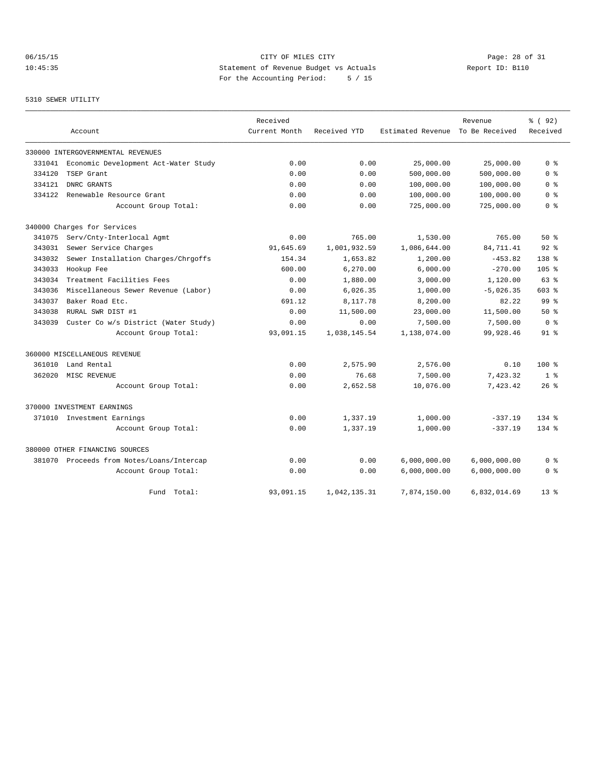# 06/15/15 Page: 28 of 31 10:45:35 Statement of Revenue Budget vs Actuals Report ID: B110 For the Accounting Period: 5 / 15

# 5310 SEWER UTILITY

|        |                                      | Received      |              |                   | Revenue        | % ( 92 )         |
|--------|--------------------------------------|---------------|--------------|-------------------|----------------|------------------|
|        | Account                              | Current Month | Received YTD | Estimated Revenue | To Be Received | Received         |
|        | 330000 INTERGOVERNMENTAL REVENUES    |               |              |                   |                |                  |
| 331041 | Economic Development Act-Water Study | 0.00          | 0.00         | 25,000.00         | 25,000.00      | 0 <sup>8</sup>   |
| 334120 | TSEP Grant                           | 0.00          | 0.00         | 500,000.00        | 500,000.00     | 0 %              |
| 334121 | DNRC GRANTS                          | 0.00          | 0.00         | 100,000.00        | 100,000.00     | 0 <sup>8</sup>   |
| 334122 | Renewable Resource Grant             | 0.00          | 0.00         | 100,000.00        | 100,000.00     | 0 <sub>8</sub>   |
|        | Account Group Total:                 | 0.00          | 0.00         | 725,000.00        | 725,000.00     | 0 <sup>8</sup>   |
|        | 340000 Charges for Services          |               |              |                   |                |                  |
| 341075 | Serv/Cnty-Interlocal Agmt            | 0.00          | 765.00       | 1,530.00          | 765.00         | 50%              |
| 343031 | Sewer Service Charges                | 91,645.69     | 1,001,932.59 | 1,086,644.00      | 84,711.41      | $92$ $%$         |
| 343032 | Sewer Installation Charges/Chrgoffs  | 154.34        | 1,653.82     | 1,200.00          | $-453.82$      | $138*$           |
| 343033 | Hookup Fee                           | 600.00        | 6,270.00     | 6,000.00          | $-270.00$      | 105 <sub>8</sub> |
| 343034 | Treatment Facilities Fees            | 0.00          | 1,880.00     | 3,000.00          | 1,120.00       | 63%              |
| 343036 | Miscellaneous Sewer Revenue (Labor)  | 0.00          | 6,026.35     | 1,000.00          | $-5,026.35$    | $603$ %          |
| 343037 | Baker Road Etc.                      | 691.12        | 8,117.78     | 8,200.00          | 82.22          | 99 %             |
| 343038 | RURAL SWR DIST #1                    | 0.00          | 11,500.00    | 23,000.00         | 11,500.00      | 50%              |
| 343039 | Custer Co w/s District (Water Study) | 0.00          | 0.00         | 7,500.00          | 7,500.00       | 0 <sup>8</sup>   |
|        | Account Group Total:                 | 93,091.15     | 1,038,145.54 | 1,138,074.00      | 99,928.46      | $91$ $8$         |
|        | 360000 MISCELLANEOUS REVENUE         |               |              |                   |                |                  |
| 361010 | Land Rental                          | 0.00          | 2,575.90     | 2,576.00          | 0.10           | $100*$           |
| 362020 | MISC REVENUE                         | 0.00          | 76.68        | 7,500.00          | 7,423.32       | 1 <sup>8</sup>   |
|        | Account Group Total:                 | 0.00          | 2,652.58     | 10,076.00         | 7,423.42       | 26%              |
|        | 370000 INVESTMENT EARNINGS           |               |              |                   |                |                  |
|        | 371010 Investment Earnings           | 0.00          | 1,337.19     | 1,000.00          | $-337.19$      | $134*$           |
|        | Account Group Total:                 | 0.00          | 1,337.19     | 1,000.00          | $-337.19$      | $134*$           |
|        | 380000 OTHER FINANCING SOURCES       |               |              |                   |                |                  |
| 381070 | Proceeds from Notes/Loans/Intercap   | 0.00          | 0.00         | 6,000,000.00      | 6,000,000.00   | 0 %              |
|        | Account Group Total:                 | 0.00          | 0.00         | 6,000,000.00      | 6,000,000.00   | 0 %              |
|        | Fund Total:                          | 93,091.15     | 1,042,135.31 | 7,874,150.00      | 6,832,014.69   | $13*$            |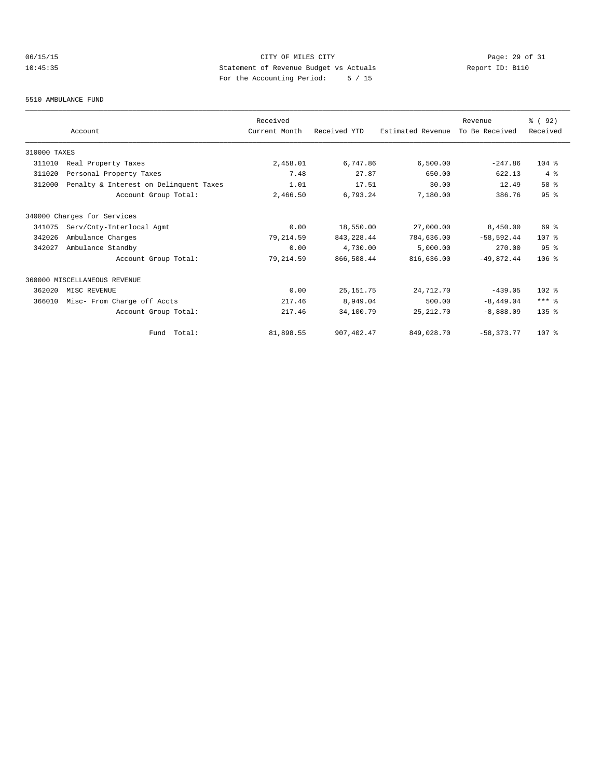# 06/15/15 CITY OF MILES CITY Page: 29 of 31 10:45:35 Statement of Revenue Budget vs Actuals Report ID: B110 For the Accounting Period: 5 / 15

#### 5510 AMBULANCE FUND

|              |                                        | Received      |              |                   | Revenue        | % (92)           |
|--------------|----------------------------------------|---------------|--------------|-------------------|----------------|------------------|
|              | Account                                | Current Month | Received YTD | Estimated Revenue | To Be Received | Received         |
| 310000 TAXES |                                        |               |              |                   |                |                  |
| 311010       | Real Property Taxes                    | 2,458.01      | 6,747.86     | 6,500.00          | $-247.86$      | $104$ %          |
| 311020       | Personal Property Taxes                | 7.48          | 27.87        | 650.00            | 622.13         | $4 \text{ }$     |
| 312000       | Penalty & Interest on Delinquent Taxes | 1.01          | 17.51        | 30.00             | 12.49          | 58 %             |
|              | Account Group Total:                   | 2,466.50      | 6,793.24     | 7,180.00          | 386.76         | 95 <sup>8</sup>  |
|              | 340000 Charges for Services            |               |              |                   |                |                  |
| 341075       | Serv/Cnty-Interlocal Agmt              | 0.00          | 18,550.00    | 27,000.00         | 8,450.00       | 69 %             |
| 342026       | Ambulance Charges                      | 79,214.59     | 843, 228.44  | 784,636.00        | $-58, 592, 44$ | 107 <sub>8</sub> |
| 342027       | Ambulance Standby                      | 0.00          | 4,730.00     | 5,000.00          | 270.00         | 95%              |
|              | Account Group Total:                   | 79, 214.59    | 866,508.44   | 816,636.00        | $-49.872.44$   | $106$ %          |
|              | 360000 MISCELLANEOUS REVENUE           |               |              |                   |                |                  |
| 362020       | MISC REVENUE                           | 0.00          | 25, 151.75   | 24,712.70         | $-439.05$      | $102$ %          |
| 366010       | Misc- From Charge off Accts            | 217.46        | 8,949.04     | 500.00            | $-8, 449.04$   | $***$ $%$        |
|              | Account Group Total:                   | 217.46        | 34,100.79    | 25, 212.70        | $-8,888.09$    | $135$ $%$        |
|              | Fund Total:                            | 81,898.55     | 907, 402.47  | 849,028.70        | $-58, 373, 77$ | 107 %            |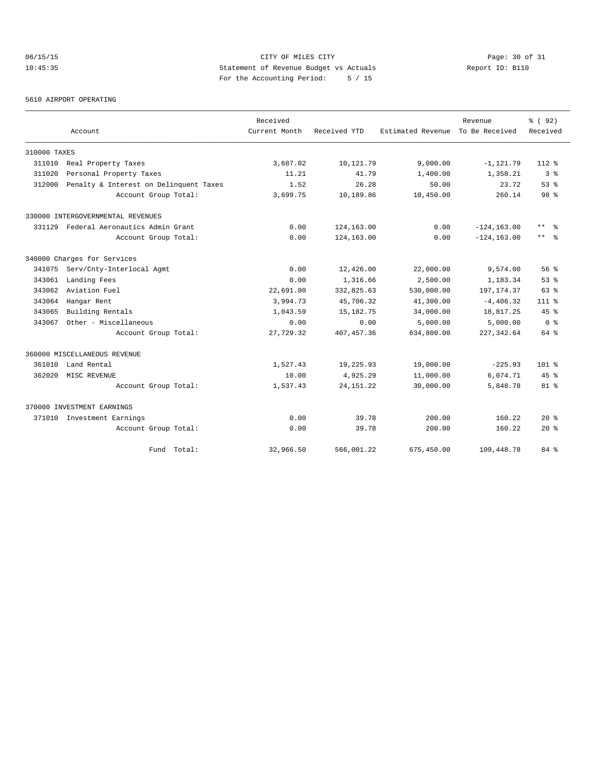# 06/15/15 Page: 30 of 31 10:45:35 Statement of Revenue Budget vs Actuals Report ID: B110 For the Accounting Period: 5 / 15

### 5610 AIRPORT OPERATING

|              |                                        | Received      |              |                   | Revenue        | % ( 92)         |
|--------------|----------------------------------------|---------------|--------------|-------------------|----------------|-----------------|
|              | Account                                | Current Month | Received YTD | Estimated Revenue | To Be Received | Received        |
| 310000 TAXES |                                        |               |              |                   |                |                 |
| 311010       | Real Property Taxes                    | 3,687.02      | 10,121.79    | 9,000.00          | $-1, 121.79$   | $112*$          |
| 311020       | Personal Property Taxes                | 11.21         | 41.79        | 1,400.00          | 1,358.21       | 3 <sup>8</sup>  |
| 312000       | Penalty & Interest on Delinquent Taxes | 1.52          | 26.28        | 50.00             | 23.72          | $53$ $%$        |
|              | Account Group Total:                   | 3,699.75      | 10,189.86    | 10,450.00         | 260.14         | 98 <sup>8</sup> |
|              | 330000 INTERGOVERNMENTAL REVENUES      |               |              |                   |                |                 |
| 331129       | Federal Aeronautics Admin Grant        | 0.00          | 124,163.00   | 0.00              | $-124, 163.00$ | $***$<br>- 옹    |
|              | Account Group Total:                   | 0.00          | 124,163.00   | 0.00              | $-124, 163.00$ | $***$ 8         |
|              | 340000 Charges for Services            |               |              |                   |                |                 |
| 341075       | Serv/Cnty-Interlocal Agmt              | 0.00          | 12,426.00    | 22,000.00         | 9,574.00       | 56%             |
| 343061       | Landing Fees                           | 0.00          | 1,316.66     | 2,500.00          | 1,183.34       | 53%             |
| 343062       | Aviation Fuel                          | 22,691.00     | 332,825.63   | 530,000.00        | 197, 174.37    | 63%             |
| 343064       | Hangar Rent                            | 3,994.73      | 45,706.32    | 41,300.00         | $-4,406.32$    | $111*$          |
| 343065       | Building Rentals                       | 1,043.59      | 15, 182. 75  | 34,000.00         | 18,817.25      | 45%             |
| 343067       | Other - Miscellaneous                  | 0.00          | 0.00         | 5,000.00          | 5,000.00       | 0 <sup>8</sup>  |
|              | Account Group Total:                   | 27,729.32     | 407, 457.36  | 634,800.00        | 227, 342.64    | 64 %            |
|              | 360000 MISCELLANEOUS REVENUE           |               |              |                   |                |                 |
| 361010       | Land Rental                            | 1,527.43      | 19,225.93    | 19,000.00         | $-225.93$      | $101$ %         |
| 362020       | MISC REVENUE                           | 10.00         | 4,925.29     | 11,000.00         | 6,074.71       | $45$ $%$        |
|              | Account Group Total:                   | 1,537.43      | 24, 151. 22  | 30,000.00         | 5,848.78       | $81*$           |
|              | 370000 INVESTMENT EARNINGS             |               |              |                   |                |                 |
| 371010       | Investment Earnings                    | 0.00          | 39.78        | 200.00            | 160.22         | $20*$           |
|              | Account Group Total:                   | 0.00          | 39.78        | 200.00            | 160.22         | $20*$           |
|              | Fund Total:                            | 32,966.50     | 566,001.22   | 675,450.00        | 109,448.78     | 84 %            |